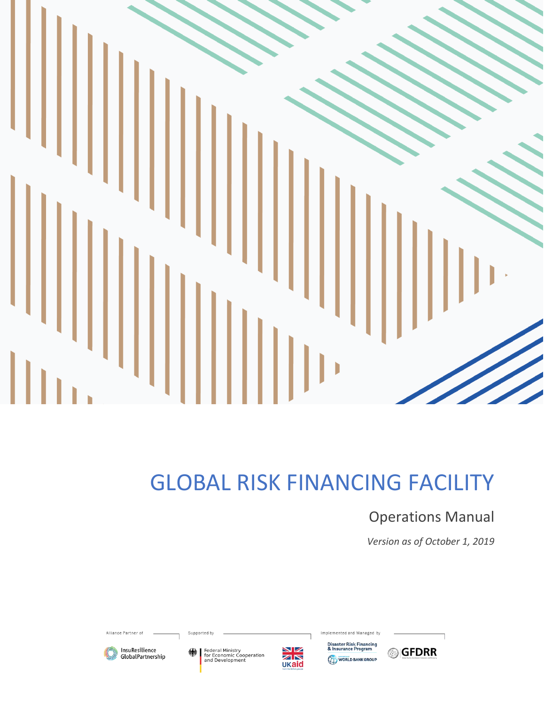

# GLOBAL RISK FINANCING FACILITY

# Operations Manual

*Version as of October 1, 2019*

Alliance Partner of

InsuResilience<br>GlobalPartnership

Federal Ministry<br>for Economic Cooperation<br>and Development

Supported by



Disaster Risk Financing<br>& Insurance Program WORLD BANK GROUP

ted and Managed by

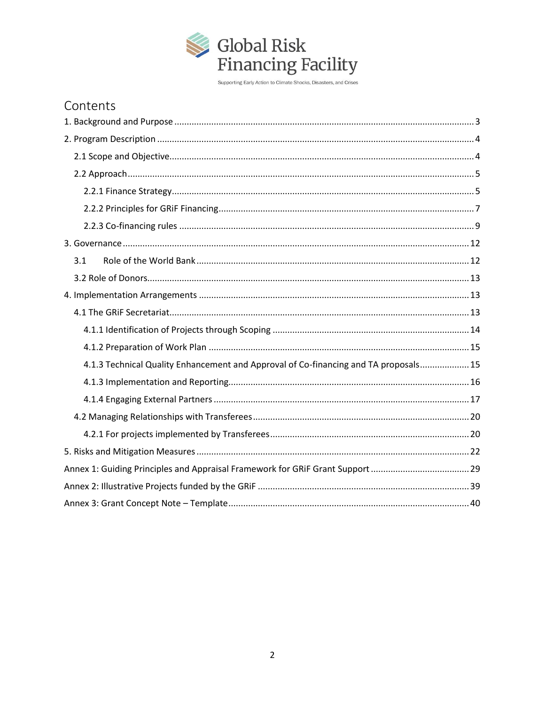

| Contents |  |
|----------|--|
|          |  |

| 3.1                                                                                  |
|--------------------------------------------------------------------------------------|
|                                                                                      |
|                                                                                      |
|                                                                                      |
|                                                                                      |
|                                                                                      |
| 4.1.3 Technical Quality Enhancement and Approval of Co-financing and TA proposals 15 |
|                                                                                      |
|                                                                                      |
|                                                                                      |
|                                                                                      |
|                                                                                      |
|                                                                                      |
|                                                                                      |
|                                                                                      |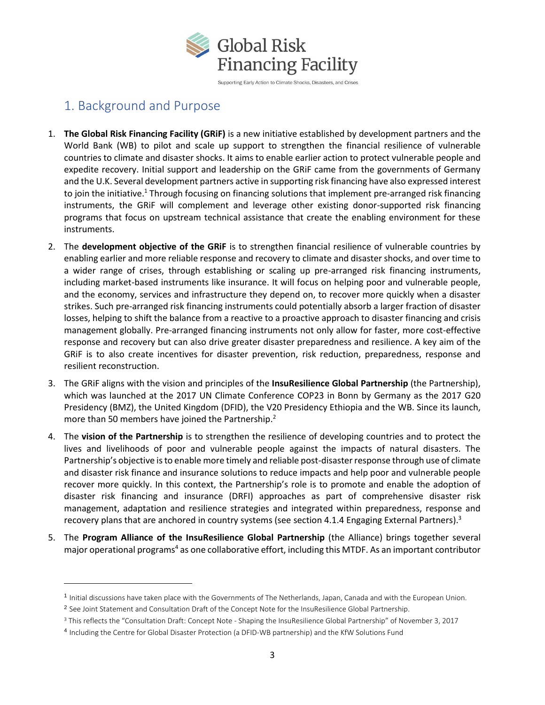

# <span id="page-2-0"></span>1. Background and Purpose

 $\overline{\phantom{a}}$ 

- 1. **The Global Risk Financing Facility (GRiF)** is a new initiative established by development partners and the World Bank (WB) to pilot and scale up support to strengthen the financial resilience of vulnerable countries to climate and disaster shocks. It aims to enable earlier action to protect vulnerable people and expedite recovery. Initial support and leadership on the GRiF came from the governments of Germany and the U.K. Several development partners active in supporting risk financing have also expressed interest to join the initiative.<sup>1</sup> Through focusing on financing solutions that implement pre-arranged risk financing instruments, the GRiF will complement and leverage other existing donor-supported risk financing programs that focus on upstream technical assistance that create the enabling environment for these instruments.
- 2. The **development objective of the GRiF** is to strengthen financial resilience of vulnerable countries by enabling earlier and more reliable response and recovery to climate and disaster shocks, and over time to a wider range of crises, through establishing or scaling up pre-arranged risk financing instruments, including market-based instruments like insurance. It will focus on helping poor and vulnerable people, and the economy, services and infrastructure they depend on, to recover more quickly when a disaster strikes. Such pre-arranged risk financing instruments could potentially absorb a larger fraction of disaster losses, helping to shift the balance from a reactive to a proactive approach to disaster financing and crisis management globally. Pre-arranged financing instruments not only allow for faster, more cost-effective response and recovery but can also drive greater disaster preparedness and resilience. A key aim of the GRiF is to also create incentives for disaster prevention, risk reduction, preparedness, response and resilient reconstruction.
- 3. The GRiF aligns with the vision and principles of the **InsuResilience Global Partnership** (the Partnership), which was launched at the 2017 UN Climate Conference COP23 in Bonn by Germany as the 2017 G20 Presidency (BMZ), the United Kingdom (DFID), the V20 Presidency Ethiopia and the WB. Since its launch, more than 50 members have joined the Partnership.<sup>2</sup>
- 4. The **vision of the Partnership** is to strengthen the resilience of developing countries and to protect the lives and livelihoods of poor and vulnerable people against the impacts of natural disasters. The Partnership's objective is to enable more timely and reliable post-disaster response through use of climate and disaster risk finance and insurance solutions to reduce impacts and help poor and vulnerable people recover more quickly. In this context, the Partnership's role is to promote and enable the adoption of disaster risk financing and insurance (DRFI) approaches as part of comprehensive disaster risk management, adaptation and resilience strategies and integrated within preparedness, response and recovery plans that are anchored in country systems (see section 4.1.4 Engaging External Partners).<sup>3</sup>
- 5. The **Program Alliance of the InsuResilience Global Partnership** (the Alliance) brings together several major operational programs<sup>4</sup> as one collaborative effort, including this MTDF. As an important contributor

<sup>1</sup> Initial discussions have taken place with the Governments of The Netherlands, Japan, Canada and with the European Union.

<sup>&</sup>lt;sup>2</sup> See Joint Statement and Consultation Draft of the Concept Note for the InsuResilience Global Partnership.

<sup>3</sup> This reflects the "Consultation Draft: Concept Note - Shaping the InsuResilience Global Partnership" of November 3, 2017

<sup>4</sup> Including the Centre for Global Disaster Protection (a DFID-WB partnership) and the KfW Solutions Fund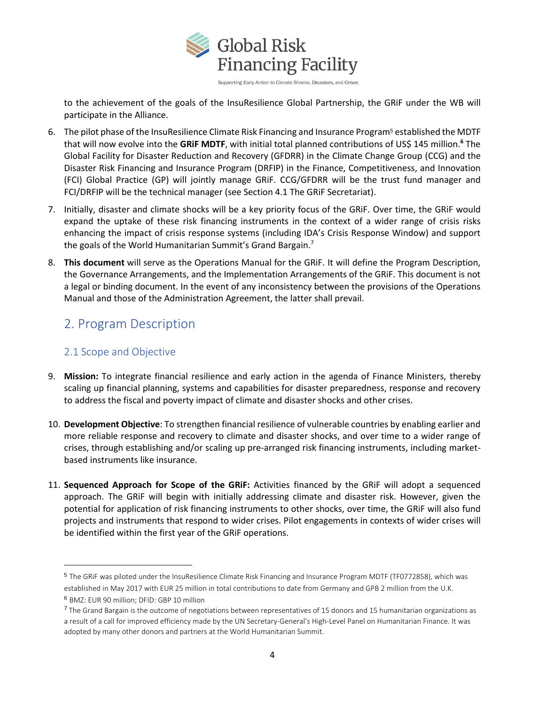

to the achievement of the goals of the InsuResilience Global Partnership, the GRiF under the WB will participate in the Alliance.

- 6. The pilot phase of the InsuResilience Climate Risk Financing and Insurance Program<sup>5</sup> established the MDTF that will now evolve into the **GRiF MDTF**, with initial total planned contributions of US\$ 145 million. **<sup>6</sup>** The Global Facility for Disaster Reduction and Recovery (GFDRR) in the Climate Change Group (CCG) and the Disaster Risk Financing and Insurance Program (DRFIP) in the Finance, Competitiveness, and Innovation (FCI) Global Practice (GP) will jointly manage GRiF. CCG/GFDRR will be the trust fund manager and FCI/DRFIP will be the technical manager (see Section 4.1 The GRiF Secretariat).
- 7. Initially, disaster and climate shocks will be a key priority focus of the GRiF. Over time, the GRiF would expand the uptake of these risk financing instruments in the context of a wider range of crisis risks enhancing the impact of crisis response systems (including IDA's Crisis Response Window) and support the goals of the World Humanitarian Summit's Grand Bargain.<sup>7</sup>
- 8. **This document** will serve as the Operations Manual for the GRiF. It will define the Program Description, the Governance Arrangements, and the Implementation Arrangements of the GRiF. This document is not a legal or binding document. In the event of any inconsistency between the provisions of the Operations Manual and those of the Administration Agreement, the latter shall prevail.

# <span id="page-3-0"></span>2. Program Description

# <span id="page-3-1"></span>2.1 Scope and Objective

- 9. **Mission:** To integrate financial resilience and early action in the agenda of Finance Ministers, thereby scaling up financial planning, systems and capabilities for disaster preparedness, response and recovery to address the fiscal and poverty impact of climate and disaster shocks and other crises.
- 10. **Development Objective**: To strengthen financial resilience of vulnerable countries by enabling earlier and more reliable response and recovery to climate and disaster shocks, and over time to a wider range of crises, through establishing and/or scaling up pre-arranged risk financing instruments, including marketbased instruments like insurance.
- 11. **Sequenced Approach for Scope of the GRiF:** Activities financed by the GRiF will adopt a sequenced approach. The GRiF will begin with initially addressing climate and disaster risk. However, given the potential for application of risk financing instruments to other shocks, over time, the GRiF will also fund projects and instruments that respond to wider crises. Pilot engagements in contexts of wider crises will be identified within the first year of the GRiF operations.

<sup>5</sup> The GRiF was piloted under the InsuResilience Climate Risk Financing and Insurance Program MDTF (TF0772858), which was established in May 2017 with EUR 25 million in total contributions to date from Germany and GPB 2 million from the U.K.

<sup>6</sup> BMZ: EUR 90 million; DFID: GBP 10 million

<sup>&</sup>lt;sup>7</sup> The Grand Bargain is the outcome of negotiations between representatives of 15 donors and 15 humanitarian organizations as a result of a call for improved efficiency made by the UN Secretary-General's High-Level Panel on Humanitarian Finance. It was adopted by many other donors and partners at the World Humanitarian Summit.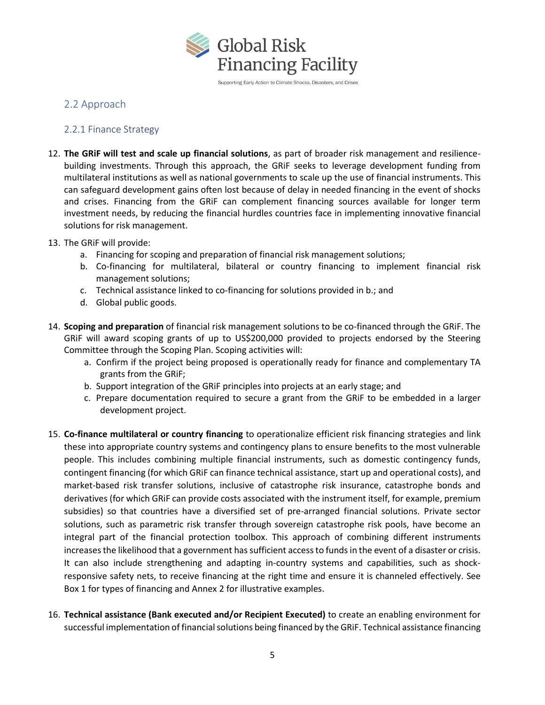

# <span id="page-4-0"></span>2.2 Approach

# <span id="page-4-1"></span>2.2.1 Finance Strategy

12. **The GRiF will test and scale up financial solutions**, as part of broader risk management and resiliencebuilding investments. Through this approach, the GRiF seeks to leverage development funding from multilateral institutions as well as national governments to scale up the use of financial instruments. This can safeguard development gains often lost because of delay in needed financing in the event of shocks and crises. Financing from the GRiF can complement financing sources available for longer term investment needs, by reducing the financial hurdles countries face in implementing innovative financial solutions for risk management.

### 13. The GRiF will provide:

- a. Financing for scoping and preparation of financial risk management solutions;
- b. Co-financing for multilateral, bilateral or country financing to implement financial risk management solutions;
- c. Technical assistance linked to co-financing for solutions provided in b.; and
- d. Global public goods.
- 14. **Scoping and preparation** of financial risk management solutions to be co-financed through the GRiF. The GRiF will award scoping grants of up to US\$200,000 provided to projects endorsed by the Steering Committee through the Scoping Plan. Scoping activities will:
	- a. Confirm if the project being proposed is operationally ready for finance and complementary TA grants from the GRiF;
	- b. Support integration of the GRiF principles into projects at an early stage; and
	- c. Prepare documentation required to secure a grant from the GRiF to be embedded in a larger development project.
- 15. **Co-finance multilateral or country financing** to operationalize efficient risk financing strategies and link these into appropriate country systems and contingency plans to ensure benefits to the most vulnerable people. This includes combining multiple financial instruments, such as domestic contingency funds, contingent financing (for which GRiF can finance technical assistance, start up and operational costs), and market-based risk transfer solutions, inclusive of catastrophe risk insurance, catastrophe bonds and derivatives (for which GRiF can provide costs associated with the instrument itself, for example, premium subsidies) so that countries have a diversified set of pre-arranged financial solutions. Private sector solutions, such as parametric risk transfer through sovereign catastrophe risk pools, have become an integral part of the financial protection toolbox. This approach of combining different instruments increases the likelihood that a government has sufficient access to funds in the event of a disaster or crisis. It can also include strengthening and adapting in-country systems and capabilities, such as shockresponsive safety nets, to receive financing at the right time and ensure it is channeled effectively. See Box 1 for types of financing and Annex 2 for illustrative examples.
- 16. **Technical assistance (Bank executed and/or Recipient Executed)** to create an enabling environment for successful implementation of financial solutions being financed by the GRiF. Technical assistance financing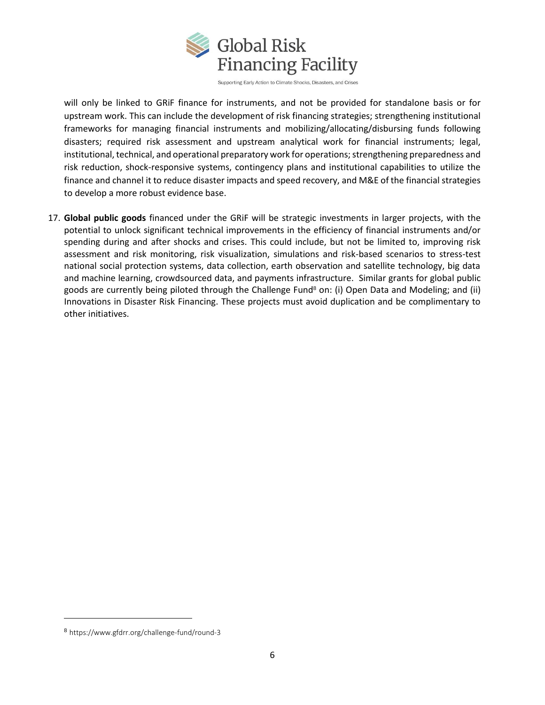

will only be linked to GRiF finance for instruments, and not be provided for standalone basis or for upstream work. This can include the development of risk financing strategies; strengthening institutional frameworks for managing financial instruments and mobilizing/allocating/disbursing funds following disasters; required risk assessment and upstream analytical work for financial instruments; legal, institutional, technical, and operational preparatory work for operations; strengthening preparedness and risk reduction, shock-responsive systems, contingency plans and institutional capabilities to utilize the finance and channel it to reduce disaster impacts and speed recovery, and M&E of the financial strategies to develop a more robust evidence base.

17. **Global public goods** financed under the GRiF will be strategic investments in larger projects, with the potential to unlock significant technical improvements in the efficiency of financial instruments and/or spending during and after shocks and crises. This could include, but not be limited to, improving risk assessment and risk monitoring, risk visualization, simulations and risk-based scenarios to stress-test national social protection systems, data collection, earth observation and satellite technology, big data and machine learning, crowdsourced data, and payments infrastructure. Similar grants for global public goods are currently being piloted through the Challenge Fund<sup>8</sup> on: (i) Open Data and Modeling; and (ii) Innovations in Disaster Risk Financing. These projects must avoid duplication and be complimentary to other initiatives.

 $\overline{\phantom{a}}$ 

<sup>8</sup> https://www.gfdrr.org/challenge-fund/round-3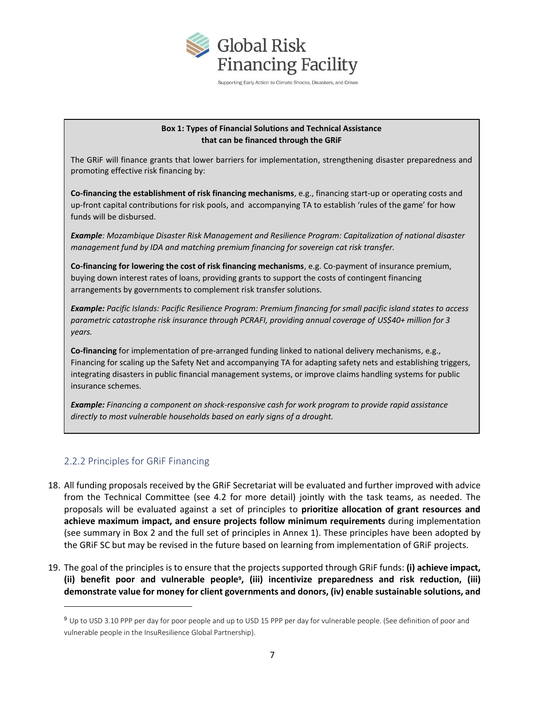

#### **Box 1: Types of Financial Solutions and Technical Assistance that can be financed through the GRiF**

The GRiF will finance grants that lower barriers for implementation, strengthening disaster preparedness and promoting effective risk financing by:

**Co-financing the establishment of risk financing mechanisms**, e.g., financing start-up or operating costs and up-front capital contributions for risk pools, and accompanying TA to establish 'rules of the game' for how funds will be disbursed.

*Example: Mozambique Disaster Risk Management and Resilience Program: Capitalization of national disaster management fund by IDA and matching premium financing for sovereign cat risk transfer.*

**Co-financing for lowering the cost of risk financing mechanisms**, e.g. Co-payment of insurance premium, buying down interest rates of loans, providing grants to support the costs of contingent financing arrangements by governments to complement risk transfer solutions.

*Example: Pacific Islands: Pacific Resilience Program: Premium financing for small pacific island states to access parametric catastrophe risk insurance through PCRAFI, providing annual coverage of US\$40+ million for 3 years.*

**Co-financing** for implementation of pre-arranged funding linked to national delivery mechanisms, e.g., Financing for scaling up the Safety Net and accompanying TA for adapting safety nets and establishing triggers, integrating disasters in public financial management systems, or improve claims handling systems for public insurance schemes.

*Example: Financing a component on shock-responsive cash for work program to provide rapid assistance directly to most vulnerable households based on early signs of a drought.*

# <span id="page-6-0"></span>2.2.2 Principles for GRiF Financing

- 18. All funding proposals received by the GRiF Secretariat will be evaluated and further improved with advice from the Technical Committee (see 4.2 for more detail) jointly with the task teams, as needed. The proposals will be evaluated against a set of principles to **prioritize allocation of grant resources and achieve maximum impact, and ensure projects follow minimum requirements** during implementation (see summary in Box 2 and the full set of principles in Annex 1). These principles have been adopted by the GRiF SC but may be revised in the future based on learning from implementation of GRiF projects.
- 19. The goal of the principles is to ensure that the projects supported through GRiF funds: **(i) achieve impact, (ii) benefit poor and vulnerable people<sup>9</sup> , (iii) incentivize preparedness and risk reduction, (iii) demonstrate value for money for client governments and donors, (iv) enable sustainable solutions, and**

<sup>9</sup> Up to USD 3.10 PPP per day for poor people and up to USD 15 PPP per day for vulnerable people. (See definition of poor and vulnerable people in the InsuResilience Global Partnership).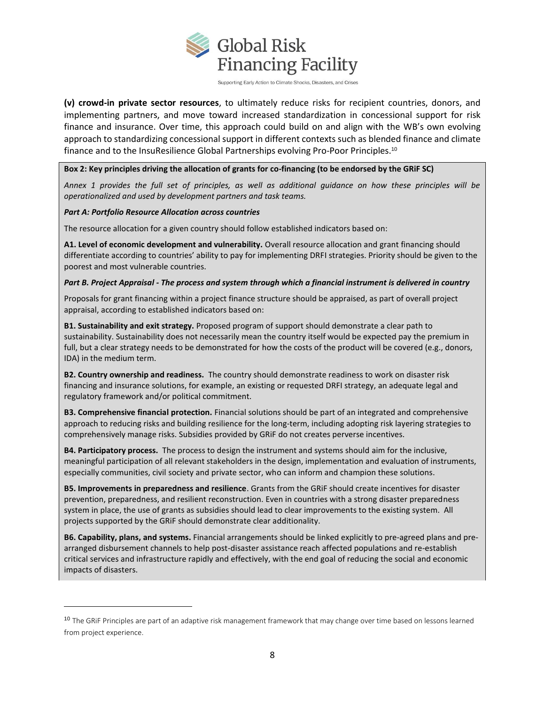**Global Risk Financing Facility** 

Supporting Early Action to Climate Shocks, Disasters, and Crises

**(v) crowd-in private sector resources**, to ultimately reduce risks for recipient countries, donors, and implementing partners, and move toward increased standardization in concessional support for risk finance and insurance. Over time, this approach could build on and align with the WB's own evolving approach to standardizing concessional support in different contexts such as blended finance and climate finance and to the InsuResilience Global Partnerships evolving Pro-Poor Principles. 10

#### **Box 2: Key principles driving the allocation of grants for co-financing (to be endorsed by the GRiF SC)**

*Annex 1 provides the full set of principles, as well as additional guidance on how these principles will be operationalized and used by development partners and task teams.*

#### *Part A: Portfolio Resource Allocation across countries*

 $\overline{a}$ 

The resource allocation for a given country should follow established indicators based on:

**A1. Level of economic development and vulnerability.** Overall resource allocation and grant financing should differentiate according to countries' ability to pay for implementing DRFI strategies. Priority should be given to the poorest and most vulnerable countries.

#### *Part B. Project Appraisal - The process and system through which a financial instrument is delivered in country*

Proposals for grant financing within a project finance structure should be appraised, as part of overall project appraisal, according to established indicators based on:

**B1. Sustainability and exit strategy.** Proposed program of support should demonstrate a clear path to sustainability. Sustainability does not necessarily mean the country itself would be expected pay the premium in full, but a clear strategy needs to be demonstrated for how the costs of the product will be covered (e.g., donors, IDA) in the medium term.

**B2. Country ownership and readiness.** The country should demonstrate readiness to work on disaster risk financing and insurance solutions, for example, an existing or requested DRFI strategy, an adequate legal and regulatory framework and/or political commitment.

**B3. Comprehensive financial protection.** Financial solutions should be part of an integrated and comprehensive approach to reducing risks and building resilience for the long-term, including adopting risk layering strategies to comprehensively manage risks. Subsidies provided by GRiF do not creates perverse incentives.

**B4. Participatory process.** The process to design the instrument and systems should aim for the inclusive, meaningful participation of all relevant stakeholders in the design, implementation and evaluation of instruments, especially communities, civil society and private sector, who can inform and champion these solutions.

**B5. Improvements in preparedness and resilience**. Grants from the GRiF should create incentives for disaster prevention, preparedness, and resilient reconstruction. Even in countries with a strong disaster preparedness system in place, the use of grants as subsidies should lead to clear improvements to the existing system. All projects supported by the GRiF should demonstrate clear additionality.

**B6. Capability, plans, and systems.** Financial arrangements should be linked explicitly to pre-agreed plans and prearranged disbursement channels to help post-disaster assistance reach affected populations and re-establish critical services and infrastructure rapidly and effectively, with the end goal of reducing the social and economic impacts of disasters.

<sup>&</sup>lt;sup>10</sup> The GRiF Principles are part of an adaptive risk management framework that may change over time based on lessons learned from project experience.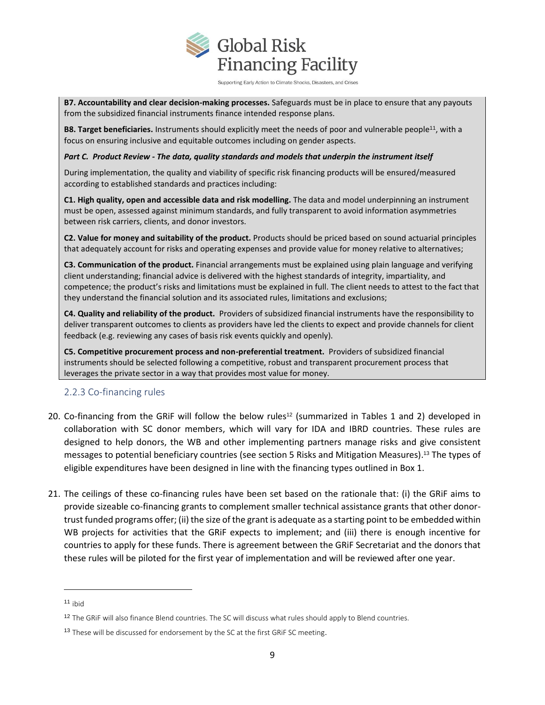

**B7. Accountability and clear decision-making processes.** Safeguards must be in place to ensure that any payouts from the subsidized financial instruments finance intended response plans.

**B8. Target beneficiaries.** Instruments should explicitly meet the needs of poor and vulnerable people<sup>11</sup>, with a focus on ensuring inclusive and equitable outcomes including on gender aspects.

*Part C. Product Review - The data, quality standards and models that underpin the instrument itself*

During implementation, the quality and viability of specific risk financing products will be ensured/measured according to established standards and practices including:

**C1. High quality, open and accessible data and risk modelling.** The data and model underpinning an instrument must be open, assessed against minimum standards, and fully transparent to avoid information asymmetries between risk carriers, clients, and donor investors.

**C2. Value for money and suitability of the product.** Products should be priced based on sound actuarial principles that adequately account for risks and operating expenses and provide value for money relative to alternatives;

**C3. Communication of the product.** Financial arrangements must be explained using plain language and verifying client understanding; financial advice is delivered with the highest standards of integrity, impartiality, and competence; the product's risks and limitations must be explained in full. The client needs to attest to the fact that they understand the financial solution and its associated rules, limitations and exclusions;

**C4. Quality and reliability of the product.** Providers of subsidized financial instruments have the responsibility to deliver transparent outcomes to clients as providers have led the clients to expect and provide channels for client feedback (e.g. reviewing any cases of basis risk events quickly and openly).

**C5. Competitive procurement process and non-preferential treatment.** Providers of subsidized financial instruments should be selected following a competitive, robust and transparent procurement process that leverages the private sector in a way that provides most value for money.

# <span id="page-8-0"></span>2.2.3 Co-financing rules

- 20. Co-financing from the GRiF will follow the below rules<sup>12</sup> (summarized in Tables 1 and 2) developed in collaboration with SC donor members, which will vary for IDA and IBRD countries. These rules are designed to help donors, the WB and other implementing partners manage risks and give consistent messages to potential beneficiary countries (see section 5 Risks and Mitigation Measures). <sup>13</sup> The types of eligible expenditures have been designed in line with the financing types outlined in Box 1.
- 21. The ceilings of these co-financing rules have been set based on the rationale that: (i) the GRiF aims to provide sizeable co-financing grants to complement smaller technical assistance grants that other donortrust funded programs offer; (ii) the size of the grant is adequate as a starting point to be embedded within WB projects for activities that the GRiF expects to implement; and (iii) there is enough incentive for countries to apply for these funds. There is agreement between the GRiF Secretariat and the donors that these rules will be piloted for the first year of implementation and will be reviewed after one year.

<sup>11</sup> ibid

<sup>&</sup>lt;sup>12</sup> The GRiF will also finance Blend countries. The SC will discuss what rules should apply to Blend countries.

<sup>&</sup>lt;sup>13</sup> These will be discussed for endorsement by the SC at the first GRIF SC meeting.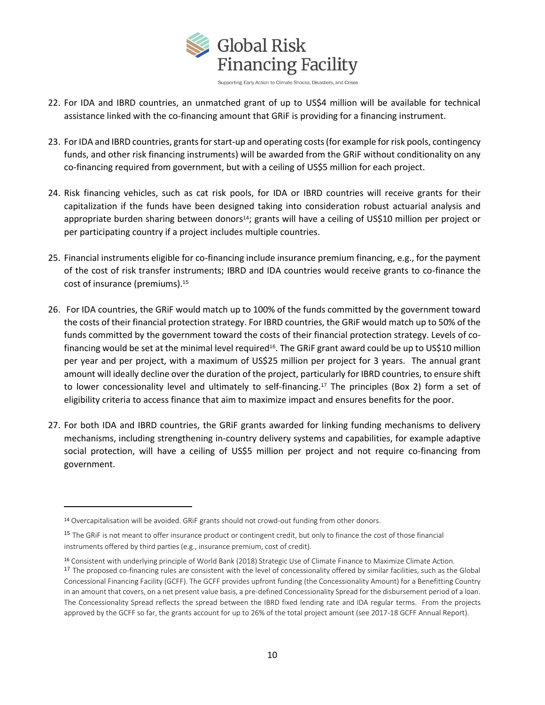

- 22. For IDA and IBRD countries, an unmatched grant of up to US\$4 million will be available for technical assistance linked with the co-financing amount that GRiF is providing for a financing instrument.
- 23. For IDA and IBRD countries, grants for start-up and operating costs(for example for risk pools, contingency funds, and other risk financing instruments) will be awarded from the GRiF without conditionality on any co-financing required from government, but with a ceiling of US\$5 million for each project.
- 24. Risk financing vehicles, such as cat risk pools, for IDA or IBRD countries will receive grants for their capitalization if the funds have been designed taking into consideration robust actuarial analysis and appropriate burden sharing between donors<sup>14</sup>; grants will have a ceiling of US\$10 million per project or per participating country if a project includes multiple countries.
- 25. Financial instruments eligible for co-financing include insurance premium financing, e.g., for the payment of the cost of risk transfer instruments; IBRD and IDA countries would receive grants to co-finance the cost of insurance (premiums).<sup>15</sup>
- 26. For IDA countries, the GRiF would match up to 100% of the funds committed by the government toward the costs of their financial protection strategy. For IBRD countries, the GRiF would match up to 50% of the funds committed by the government toward the costs of their financial protection strategy. Levels of cofinancing would be set at the minimal level required<sup>16</sup>. The GRiF grant award could be up to US\$10 million per year and per project, with a maximum of US\$25 million per project for 3 years. The annual grant amount will ideally decline over the duration of the project, particularly for IBRD countries, to ensure shift to lower concessionality level and ultimately to self-financing. <sup>17</sup> The principles (Box 2) form a set of eligibility criteria to access finance that aim to maximize impact and ensures benefits for the poor.
- 27. For both IDA and IBRD countries, the GRiF grants awarded for linking funding mechanisms to delivery mechanisms, including strengthening in-country delivery systems and capabilities, for example adaptive social protection, will have a ceiling of US\$5 million per project and not require co-financing from government.

 $\overline{\phantom{a}}$ 

<sup>14</sup> Overcapitalisation will be avoided. GRiF grants should not crowd-out funding from other donors.

<sup>&</sup>lt;sup>15</sup> The GRIF is not meant to offer insurance product or contingent credit, but only to finance the cost of those financial instruments offered by third parties (e.g., insurance premium, cost of credit).

<sup>16</sup> Consistent with underlying principle of World Bank (2018) Strategic Use of Climate Finance to Maximize Climate Action. <sup>17</sup> The proposed co-financing rules are consistent with the level of concessionality offered by similar facilities, such as the Global Concessional Financing Facility (GCFF). The GCFF provides upfront funding (the Concessionality Amount) for a Benefitting Country in an amount that covers, on a net present value basis, a pre-defined Concessionality Spread for the disbursement period of a loan. The Concessionality Spread reflects the spread between the IBRD fixed lending rate and IDA regular terms. From the projects approved by the GCFF so far, the grants account for up to 26% of the total project amount (see 2017-18 GCFF Annual Report).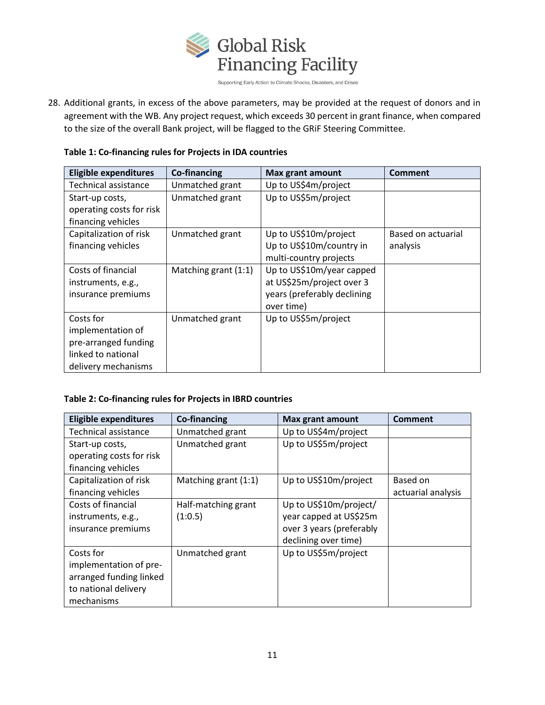

28. Additional grants, in excess of the above parameters, may be provided at the request of donors and in agreement with the WB. Any project request, which exceeds 30 percent in grant finance, when compared to the size of the overall Bank project, will be flagged to the GRiF Steering Committee.

| Table 1: Co-financing rules for Projects in IDA countries |  |  |  |  |  |  |  |  |  |
|-----------------------------------------------------------|--|--|--|--|--|--|--|--|--|
|-----------------------------------------------------------|--|--|--|--|--|--|--|--|--|

| <b>Eligible expenditures</b> | <b>Co-financing</b>  | Max grant amount            | <b>Comment</b>     |
|------------------------------|----------------------|-----------------------------|--------------------|
| <b>Technical assistance</b>  | Unmatched grant      | Up to US\$4m/project        |                    |
| Start-up costs,              | Unmatched grant      | Up to US\$5m/project        |                    |
| operating costs for risk     |                      |                             |                    |
| financing vehicles           |                      |                             |                    |
| Capitalization of risk       | Unmatched grant      | Up to US\$10m/project       | Based on actuarial |
| financing vehicles           |                      | Up to US\$10m/country in    | analysis           |
|                              |                      | multi-country projects      |                    |
| Costs of financial           | Matching grant (1:1) | Up to US\$10m/year capped   |                    |
| instruments, e.g.,           |                      | at US\$25m/project over 3   |                    |
| insurance premiums           |                      | years (preferably declining |                    |
|                              |                      | over time)                  |                    |
| Costs for                    | Unmatched grant      | Up to US\$5m/project        |                    |
| implementation of            |                      |                             |                    |
| pre-arranged funding         |                      |                             |                    |
| linked to national           |                      |                             |                    |
| delivery mechanisms          |                      |                             |                    |

# **Table 2: Co-financing rules for Projects in IBRD countries**

| <b>Eligible expenditures</b> | <b>Co-financing</b>  | <b>Max grant amount</b>  | <b>Comment</b>     |
|------------------------------|----------------------|--------------------------|--------------------|
| <b>Technical assistance</b>  | Unmatched grant      | Up to US\$4m/project     |                    |
| Start-up costs,              | Unmatched grant      | Up to US\$5m/project     |                    |
| operating costs for risk     |                      |                          |                    |
| financing vehicles           |                      |                          |                    |
| Capitalization of risk       | Matching grant (1:1) | Up to US\$10m/project    | Based on           |
| financing vehicles           |                      |                          | actuarial analysis |
| Costs of financial           | Half-matching grant  | Up to US\$10m/project/   |                    |
| instruments, e.g.,           | (1:0.5)              | year capped at US\$25m   |                    |
| insurance premiums           |                      | over 3 years (preferably |                    |
|                              |                      | declining over time)     |                    |
| Costs for                    | Unmatched grant      | Up to US\$5m/project     |                    |
| implementation of pre-       |                      |                          |                    |
| arranged funding linked      |                      |                          |                    |
| to national delivery         |                      |                          |                    |
| mechanisms                   |                      |                          |                    |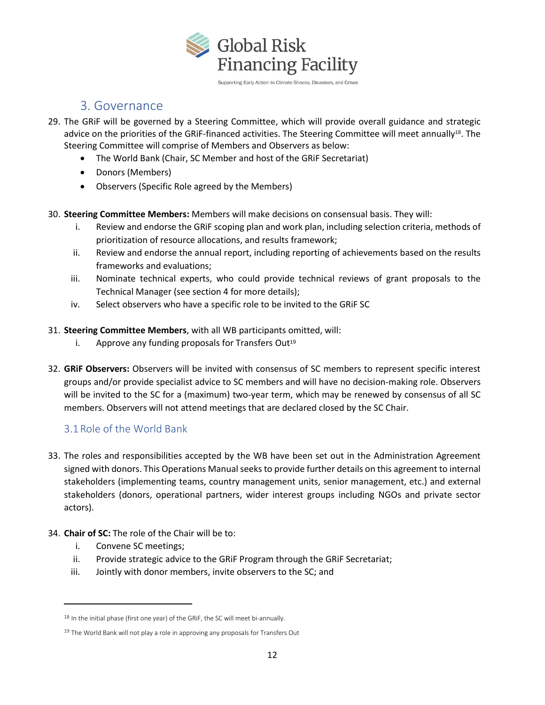

# <span id="page-11-0"></span>3. Governance

- 29. The GRiF will be governed by a Steering Committee, which will provide overall guidance and strategic advice on the priorities of the GRIF-financed activities. The Steering Committee will meet annually<sup>18</sup>. The Steering Committee will comprise of Members and Observers as below:
	- The World Bank (Chair, SC Member and host of the GRiF Secretariat)
	- Donors (Members)
	- Observers (Specific Role agreed by the Members)
- 30. **Steering Committee Members:** Members will make decisions on consensual basis. They will:
	- i. Review and endorse the GRiF scoping plan and work plan, including selection criteria, methods of prioritization of resource allocations, and results framework;
	- ii. Review and endorse the annual report, including reporting of achievements based on the results frameworks and evaluations;
	- iii. Nominate technical experts, who could provide technical reviews of grant proposals to the Technical Manager (see section 4 for more details);
	- iv. Select observers who have a specific role to be invited to the GRiF SC
- 31. **Steering Committee Members**, with all WB participants omitted, will:
	- i. Approve any funding proposals for Transfers Out<sup>19</sup>
- 32. **GRiF Observers:** Observers will be invited with consensus of SC members to represent specific interest groups and/or provide specialist advice to SC members and will have no decision-making role. Observers will be invited to the SC for a (maximum) two-year term, which may be renewed by consensus of all SC members. Observers will not attend meetings that are declared closed by the SC Chair.

# <span id="page-11-1"></span>3.1Role of the World Bank

- 33. The roles and responsibilities accepted by the WB have been set out in the Administration Agreement signed with donors. This Operations Manual seeks to provide further details on this agreement to internal stakeholders (implementing teams, country management units, senior management, etc.) and external stakeholders (donors, operational partners, wider interest groups including NGOs and private sector actors).
- 34. **Chair of SC:** The role of the Chair will be to:
	- i. Convene SC meetings;

- ii. Provide strategic advice to the GRiF Program through the GRiF Secretariat;
- iii. Jointly with donor members, invite observers to the SC; and

 $18$  In the initial phase (first one year) of the GRiF, the SC will meet bi-annually.

<sup>&</sup>lt;sup>19</sup> The World Bank will not play a role in approving any proposals for Transfers Out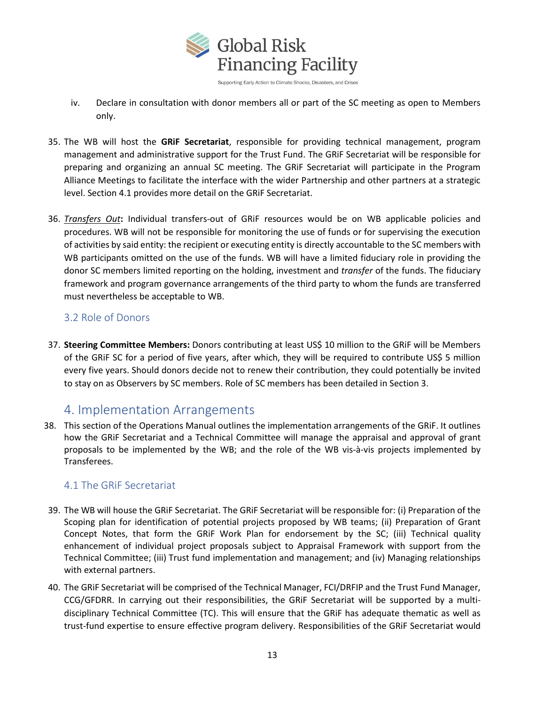

- iv. Declare in consultation with donor members all or part of the SC meeting as open to Members only.
- 35. The WB will host the **GRiF Secretariat**, responsible for providing technical management, program management and administrative support for the Trust Fund. The GRiF Secretariat will be responsible for preparing and organizing an annual SC meeting. The GRiF Secretariat will participate in the Program Alliance Meetings to facilitate the interface with the wider Partnership and other partners at a strategic level. Section 4.1 provides more detail on the GRiF Secretariat.
- 36. *Transfers Out***:** Individual transfers-out of GRiF resources would be on WB applicable policies and procedures. WB will not be responsible for monitoring the use of funds or for supervising the execution of activities by said entity: the recipient or executing entity is directly accountable to the SC members with WB participants omitted on the use of the funds. WB will have a limited fiduciary role in providing the donor SC members limited reporting on the holding, investment and *transfer* of the funds. The fiduciary framework and program governance arrangements of the third party to whom the funds are transferred must nevertheless be acceptable to WB.

# <span id="page-12-0"></span>3.2 Role of Donors

37. **Steering Committee Members:** Donors contributing at least US\$ 10 million to the GRiF will be Members of the GRiF SC for a period of five years, after which, they will be required to contribute US\$ 5 million every five years. Should donors decide not to renew their contribution, they could potentially be invited to stay on as Observers by SC members. Role of SC members has been detailed in Section 3.

# <span id="page-12-1"></span>4. Implementation Arrangements

38. This section of the Operations Manual outlines the implementation arrangements of the GRiF. It outlines how the GRiF Secretariat and a Technical Committee will manage the appraisal and approval of grant proposals to be implemented by the WB; and the role of the WB vis-à-vis projects implemented by Transferees.

# <span id="page-12-2"></span>4.1 The GRiF Secretariat

- 39. The WB will house the GRiF Secretariat. The GRiF Secretariat will be responsible for: (i) Preparation of the Scoping plan for identification of potential projects proposed by WB teams; (ii) Preparation of Grant Concept Notes, that form the GRiF Work Plan for endorsement by the SC; (iii) Technical quality enhancement of individual project proposals subject to Appraisal Framework with support from the Technical Committee; (iii) Trust fund implementation and management; and (iv) Managing relationships with external partners.
- 40. The GRiF Secretariat will be comprised of the Technical Manager, FCI/DRFIP and the Trust Fund Manager, CCG/GFDRR. In carrying out their responsibilities, the GRiF Secretariat will be supported by a multidisciplinary Technical Committee (TC). This will ensure that the GRiF has adequate thematic as well as trust-fund expertise to ensure effective program delivery. Responsibilities of the GRiF Secretariat would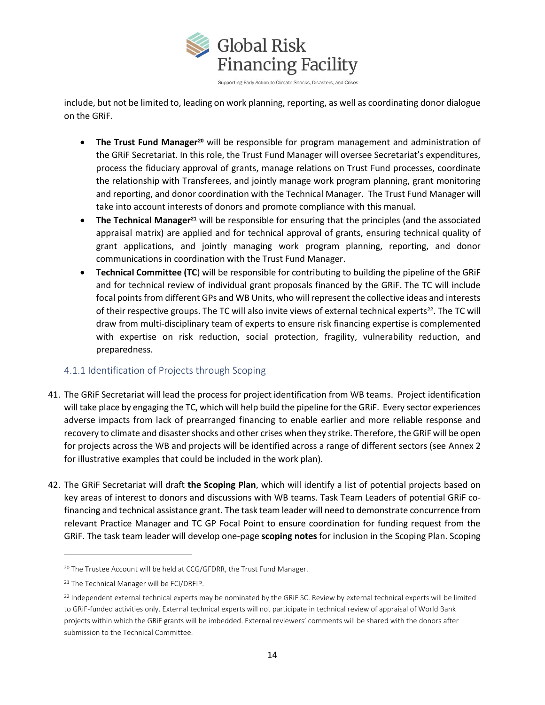

include, but not be limited to, leading on work planning, reporting, as well as coordinating donor dialogue on the GRiF.

- **The Trust Fund Manager<sup>20</sup>** will be responsible for program management and administration of the GRiF Secretariat. In this role, the Trust Fund Manager will oversee Secretariat's expenditures, process the fiduciary approval of grants, manage relations on Trust Fund processes, coordinate the relationship with Transferees, and jointly manage work program planning, grant monitoring and reporting, and donor coordination with the Technical Manager. The Trust Fund Manager will take into account interests of donors and promote compliance with this manual.
- **The Technical Manager<sup>21</sup>** will be responsible for ensuring that the principles (and the associated appraisal matrix) are applied and for technical approval of grants, ensuring technical quality of grant applications, and jointly managing work program planning, reporting, and donor communications in coordination with the Trust Fund Manager.
- **Technical Committee (TC**) will be responsible for contributing to building the pipeline of the GRiF and for technical review of individual grant proposals financed by the GRiF. The TC will include focal points from different GPs and WB Units, who will represent the collective ideas and interests of their respective groups. The TC will also invite views of external technical experts<sup>22</sup>. The TC will draw from multi-disciplinary team of experts to ensure risk financing expertise is complemented with expertise on risk reduction, social protection, fragility, vulnerability reduction, and preparedness.

# <span id="page-13-0"></span>4.1.1 Identification of Projects through Scoping

- 41. The GRiF Secretariat will lead the process for project identification from WB teams. Project identification will take place by engaging the TC, which will help build the pipeline for the GRiF. Every sector experiences adverse impacts from lack of prearranged financing to enable earlier and more reliable response and recovery to climate and disaster shocks and other crises when they strike. Therefore, the GRiF will be open for projects across the WB and projects will be identified across a range of different sectors (see Annex 2 for illustrative examples that could be included in the work plan).
- 42. The GRiF Secretariat will draft **the Scoping Plan**, which will identify a list of potential projects based on key areas of interest to donors and discussions with WB teams. Task Team Leaders of potential GRiF cofinancing and technical assistance grant. The task team leader will need to demonstrate concurrence from relevant Practice Manager and TC GP Focal Point to ensure coordination for funding request from the GRiF. The task team leader will develop one-page **scoping notes** for inclusion in the Scoping Plan. Scoping

<sup>&</sup>lt;sup>20</sup> The Trustee Account will be held at CCG/GFDRR, the Trust Fund Manager.

<sup>21</sup> The Technical Manager will be FCI/DRFIP.

<sup>22</sup> Independent external technical experts may be nominated by the GRiF SC. Review by external technical experts will be limited to GRiF-funded activities only. External technical experts will not participate in technical review of appraisal of World Bank projects within which the GRiF grants will be imbedded. External reviewers' comments will be shared with the donors after submission to the Technical Committee.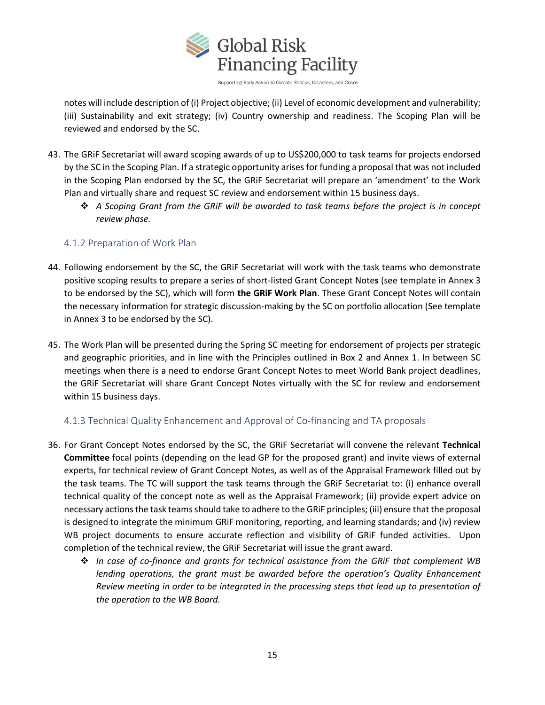**Global Risk Financing Facility** 

Supporting Early Action to Climate Shocks, Disasters, and Crises

notes will include description of (i) Project objective; (ii) Level of economic development and vulnerability; (iii) Sustainability and exit strategy; (iv) Country ownership and readiness. The Scoping Plan will be reviewed and endorsed by the SC.

- 43. The GRiF Secretariat will award scoping awards of up to US\$200,000 to task teams for projects endorsed by the SC in the Scoping Plan. If a strategic opportunity arises for funding a proposal that was not included in the Scoping Plan endorsed by the SC, the GRiF Secretariat will prepare an 'amendment' to the Work Plan and virtually share and request SC review and endorsement within 15 business days.
	- ❖ *A Scoping Grant from the GRiF will be awarded to task teams before the project is in concept review phase.*

# <span id="page-14-0"></span>4.1.2 Preparation of Work Plan

- 44. Following endorsement by the SC, the GRiF Secretariat will work with the task teams who demonstrate positive scoping results to prepare a series of short-listed Grant Concept Note**s** (see template in Annex 3 to be endorsed by the SC), which will form **the GRiF Work Plan**. These Grant Concept Notes will contain the necessary information for strategic discussion-making by the SC on portfolio allocation (See template in Annex 3 to be endorsed by the SC).
- 45. The Work Plan will be presented during the Spring SC meeting for endorsement of projects per strategic and geographic priorities, and in line with the Principles outlined in Box 2 and Annex 1. In between SC meetings when there is a need to endorse Grant Concept Notes to meet World Bank project deadlines, the GRiF Secretariat will share Grant Concept Notes virtually with the SC for review and endorsement within 15 business days.

# <span id="page-14-1"></span>4.1.3 Technical Quality Enhancement and Approval of Co-financing and TA proposals

- 36. For Grant Concept Notes endorsed by the SC, the GRiF Secretariat will convene the relevant **Technical Committee** focal points (depending on the lead GP for the proposed grant) and invite views of external experts, for technical review of Grant Concept Notes, as well as of the Appraisal Framework filled out by the task teams. The TC will support the task teams through the GRiF Secretariat to: (i) enhance overall technical quality of the concept note as well as the Appraisal Framework; (ii) provide expert advice on necessary actions the task teams should take to adhere to the GRiF principles; (iii) ensure that the proposal is designed to integrate the minimum GRiF monitoring, reporting, and learning standards; and (iv) review WB project documents to ensure accurate reflection and visibility of GRiF funded activities. Upon completion of the technical review, the GRiF Secretariat will issue the grant award.
	- ❖ *In case of co-finance and grants for technical assistance from the GRiF that complement WB lending operations, the grant must be awarded before the operation's Quality Enhancement Review meeting in order to be integrated in the processing steps that lead up to presentation of the operation to the WB Board.*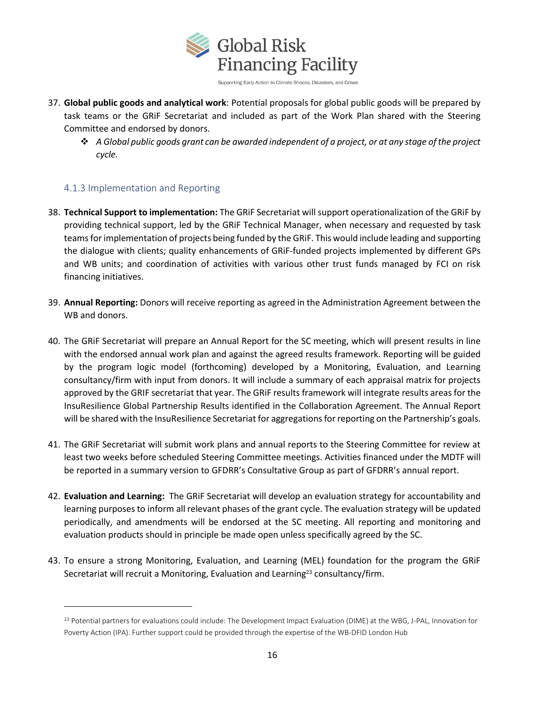

- 37. **Global public goods and analytical work**: Potential proposals for global public goods will be prepared by task teams or the GRiF Secretariat and included as part of the Work Plan shared with the Steering Committee and endorsed by donors.
	- ❖ *A Global public goods grant can be awarded independent of a project, or at any stage of the project cycle.*

# <span id="page-15-0"></span>4.1.3 Implementation and Reporting

- 38. **Technical Support to implementation:** The GRiF Secretariat will support operationalization of the GRiF by providing technical support, led by the GRiF Technical Manager, when necessary and requested by task teams forimplementation of projects being funded by the GRiF. This would include leading and supporting the dialogue with clients; quality enhancements of GRiF-funded projects implemented by different GPs and WB units; and coordination of activities with various other trust funds managed by FCI on risk financing initiatives.
- 39. **Annual Reporting:** Donors will receive reporting as agreed in the Administration Agreement between the WB and donors.
- 40. The GRiF Secretariat will prepare an Annual Report for the SC meeting, which will present results in line with the endorsed annual work plan and against the agreed results framework. Reporting will be guided by the program logic model (forthcoming) developed by a Monitoring, Evaluation, and Learning consultancy/firm with input from donors. It will include a summary of each appraisal matrix for projects approved by the GRIF secretariat that year. The GRiF results framework will integrate results areas for the InsuResilience Global Partnership Results identified in the Collaboration Agreement. The Annual Report will be shared with the InsuResilience Secretariat for aggregations for reporting on the Partnership's goals.
- 41. The GRiF Secretariat will submit work plans and annual reports to the Steering Committee for review at least two weeks before scheduled Steering Committee meetings. Activities financed under the MDTF will be reported in a summary version to GFDRR's Consultative Group as part of GFDRR's annual report.
- 42. **Evaluation and Learning:** The GRiF Secretariat will develop an evaluation strategy for accountability and learning purposes to inform all relevant phases of the grant cycle. The evaluation strategy will be updated periodically, and amendments will be endorsed at the SC meeting. All reporting and monitoring and evaluation products should in principle be made open unless specifically agreed by the SC.
- 43. To ensure a strong Monitoring, Evaluation, and Learning (MEL) foundation for the program the GRiF Secretariat will recruit a Monitoring, Evaluation and Learning<sup>23</sup> consultancy/firm.

<sup>23</sup> Potential partners for evaluations could include: The Development Impact Evaluation (DIME) at the WBG, J-PAL, Innovation for Poverty Action (IPA). Further support could be provided through the expertise of the WB-DFID London Hub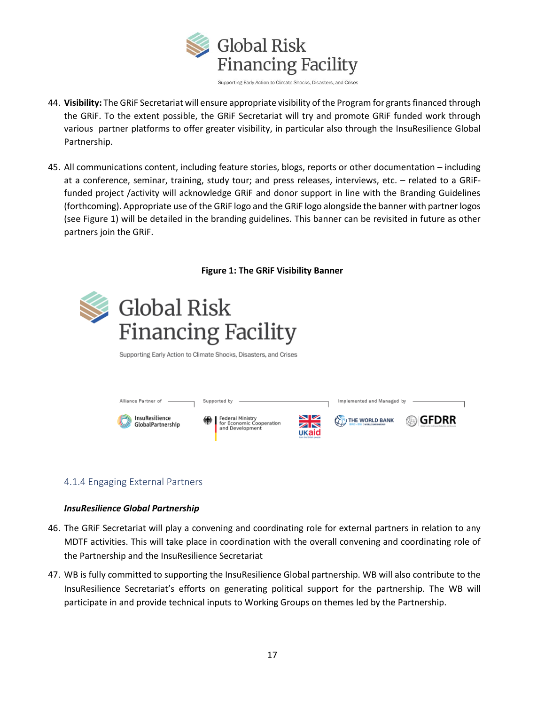

- 44. **Visibility:** The GRiF Secretariat will ensure appropriate visibility of the Program for grants financed through the GRiF. To the extent possible, the GRiF Secretariat will try and promote GRiF funded work through various partner platforms to offer greater visibility, in particular also through the InsuResilience Global Partnership.
- 45. All communications content, including feature stories, blogs, reports or other documentation including at a conference, seminar, training, study tour; and press releases, interviews, etc. – related to a GRiFfunded project /activity will acknowledge GRiF and donor support in line with the Branding Guidelines (forthcoming). Appropriate use of the GRiF logo and the GRiF logo alongside the banner with partner logos (see Figure 1) will be detailed in the branding guidelines. This banner can be revisited in future as other partners join the GRiF.



# <span id="page-16-0"></span>4.1.4 Engaging External Partners

#### *InsuResilience Global Partnership*

- 46. The GRiF Secretariat will play a convening and coordinating role for external partners in relation to any MDTF activities. This will take place in coordination with the overall convening and coordinating role of the Partnership and the InsuResilience Secretariat
- 47. WB is fully committed to supporting the InsuResilience Global partnership. WB will also contribute to the InsuResilience Secretariat's efforts on generating political support for the partnership. The WB will participate in and provide technical inputs to Working Groups on themes led by the Partnership.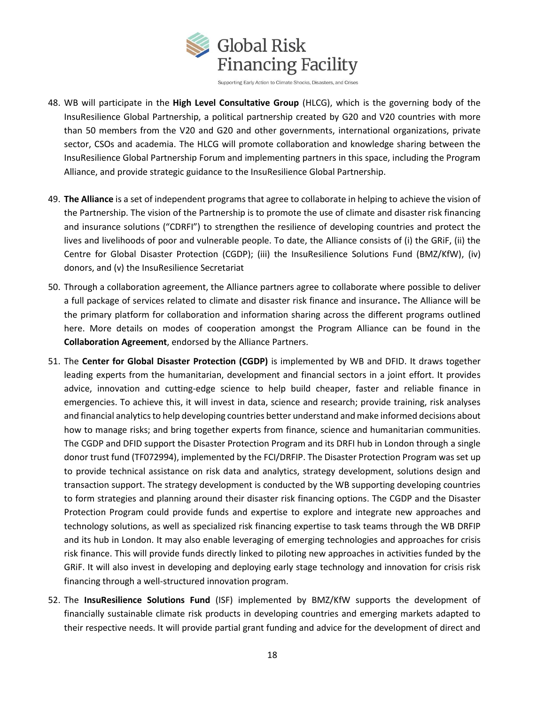**Global Risk Financing Facility** 

- 48. WB will participate in the **High Level Consultative Group** (HLCG), which is the governing body of the InsuResilience Global Partnership, a political partnership created by G20 and V20 countries with more than 50 members from the V20 and G20 and other governments, international organizations, private sector, CSOs and academia. The HLCG will promote collaboration and knowledge sharing between the InsuResilience Global Partnership Forum and implementing partners in this space, including the Program Alliance, and provide strategic guidance to the InsuResilience Global Partnership.
- 49. **The Alliance** is a set of independent programs that agree to collaborate in helping to achieve the vision of the Partnership. The vision of the Partnership is to promote the use of climate and disaster risk financing and insurance solutions ("CDRFI") to strengthen the resilience of developing countries and protect the lives and livelihoods of poor and vulnerable people. To date, the Alliance consists of (i) the GRiF, (ii) the Centre for Global Disaster Protection (CGDP); (iii) the InsuResilience Solutions Fund (BMZ/KfW), (iv) donors, and (v) the InsuResilience Secretariat
- 50. Through a collaboration agreement, the Alliance partners agree to collaborate where possible to deliver a full package of services related to climate and disaster risk finance and insurance**.** The Alliance will be the primary platform for collaboration and information sharing across the different programs outlined here. More details on modes of cooperation amongst the Program Alliance can be found in the **Collaboration Agreement**, endorsed by the Alliance Partners.
- 51. The **Center for Global Disaster Protection (CGDP)** is implemented by WB and DFID. It draws together leading experts from the humanitarian, development and financial sectors in a joint effort. It provides advice, innovation and cutting-edge science to help build cheaper, faster and reliable finance in emergencies. To achieve this, it will invest in data, science and research; provide training, risk analyses and financial analytics to help developing countries better understand and make informed decisions about how to manage risks; and bring together experts from finance, science and humanitarian communities. The CGDP and DFID support the Disaster Protection Program and its DRFI hub in London through a single donor trust fund (TF072994), implemented by the FCI/DRFIP. The Disaster Protection Program was set up to provide technical assistance on risk data and analytics, strategy development, solutions design and transaction support. The strategy development is conducted by the WB supporting developing countries to form strategies and planning around their disaster risk financing options. The CGDP and the Disaster Protection Program could provide funds and expertise to explore and integrate new approaches and technology solutions, as well as specialized risk financing expertise to task teams through the WB DRFIP and its hub in London. It may also enable leveraging of emerging technologies and approaches for crisis risk finance. This will provide funds directly linked to piloting new approaches in activities funded by the GRiF. It will also invest in developing and deploying early stage technology and innovation for crisis risk financing through a well-structured innovation program.
- 52. The **InsuResilience Solutions Fund** (ISF) implemented by BMZ/KfW supports the development of financially sustainable climate risk products in developing countries and emerging markets adapted to their respective needs. It will provide partial grant funding and advice for the development of direct and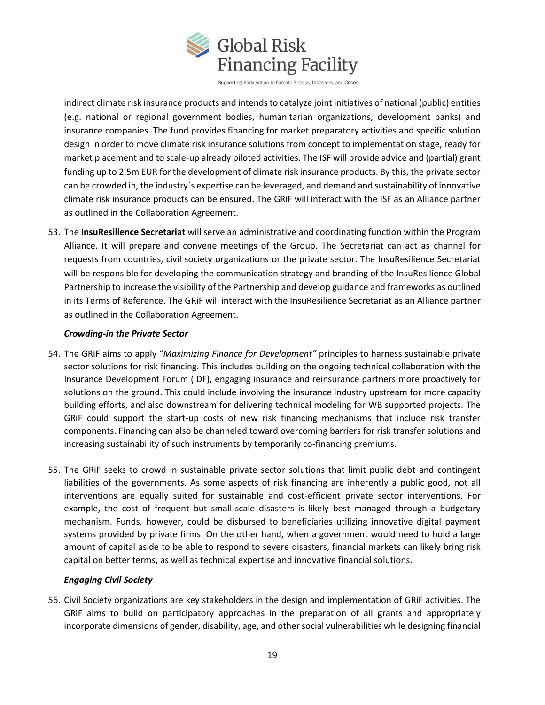

indirect climate risk insurance products and intends to catalyze joint initiatives of national (public) entities (e.g. national or regional government bodies, humanitarian organizations, development banks) and insurance companies. The fund provides financing for market preparatory activities and specific solution design in order to move climate risk insurance solutions from concept to implementation stage, ready for market placement and to scale-up already piloted activities. The ISF will provide advice and (partial) grant funding up to 2.5m EUR for the development of climate risk insurance products. By this, the private sector can be crowded in, the industry´s expertise can be leveraged, and demand and sustainability of innovative climate risk insurance products can be ensured. The GRiF will interact with the ISF as an Alliance partner as outlined in the Collaboration Agreement.

53. The **InsuResilience Secretariat** will serve an administrative and coordinating function within the Program Alliance. It will prepare and convene meetings of the Group. The Secretariat can act as channel for requests from countries, civil society organizations or the private sector. The InsuResilience Secretariat will be responsible for developing the communication strategy and branding of the InsuResilience Global Partnership to increase the visibility of the Partnership and develop guidance and frameworks as outlined in its Terms of Reference. The GRiF will interact with the InsuResilience Secretariat as an Alliance partner as outlined in the Collaboration Agreement.

### *Crowding-in the Private Sector*

- 54. The GRiF aims to apply "*Maximizing Finance for Development"* principles to harness sustainable private sector solutions for risk financing. This includes building on the ongoing technical collaboration with the Insurance Development Forum (IDF), engaging insurance and reinsurance partners more proactively for solutions on the ground. This could include involving the insurance industry upstream for more capacity building efforts, and also downstream for delivering technical modeling for WB supported projects. The GRiF could support the start-up costs of new risk financing mechanisms that include risk transfer components. Financing can also be channeled toward overcoming barriers for risk transfer solutions and increasing sustainability of such instruments by temporarily co-financing premiums.
- 55. The GRiF seeks to crowd in sustainable private sector solutions that limit public debt and contingent liabilities of the governments. As some aspects of risk financing are inherently a public good, not all interventions are equally suited for sustainable and cost-efficient private sector interventions. For example, the cost of frequent but small-scale disasters is likely best managed through a budgetary mechanism. Funds, however, could be disbursed to beneficiaries utilizing innovative digital payment systems provided by private firms. On the other hand, when a government would need to hold a large amount of capital aside to be able to respond to severe disasters, financial markets can likely bring risk capital on better terms, as well as technical expertise and innovative financial solutions.

# *Engaging Civil Society*

56. Civil Society organizations are key stakeholders in the design and implementation of GRiF activities. The GRiF aims to build on participatory approaches in the preparation of all grants and appropriately incorporate dimensions of gender, disability, age, and other social vulnerabilities while designing financial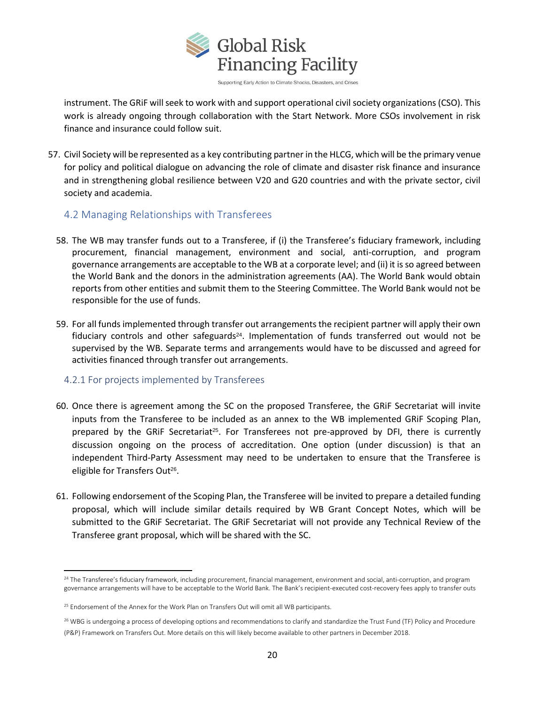

instrument. The GRiF will seek to work with and support operational civil society organizations (CSO). This work is already ongoing through collaboration with the Start Network. More CSOs involvement in risk finance and insurance could follow suit.

57. Civil Society will be represented as a key contributing partner in the HLCG, which will be the primary venue for policy and political dialogue on advancing the role of climate and disaster risk finance and insurance and in strengthening global resilience between V20 and G20 countries and with the private sector, civil society and academia.

### <span id="page-19-0"></span>4.2 Managing Relationships with Transferees

- 58. The WB may transfer funds out to a Transferee, if (i) the Transferee's fiduciary framework, including procurement, financial management, environment and social, anti-corruption, and program governance arrangements are acceptable to the WB at a corporate level; and (ii) it is so agreed between the World Bank and the donors in the administration agreements (AA). The World Bank would obtain reports from other entities and submit them to the Steering Committee. The World Bank would not be responsible for the use of funds.
- 59. For all funds implemented through transfer out arrangements the recipient partner will apply their own fiduciary controls and other safeguards<sup>24</sup>. Implementation of funds transferred out would not be supervised by the WB. Separate terms and arrangements would have to be discussed and agreed for activities financed through transfer out arrangements.

#### <span id="page-19-1"></span>4.2.1 For projects implemented by Transferees

 $\overline{\phantom{a}}$ 

- 60. Once there is agreement among the SC on the proposed Transferee, the GRiF Secretariat will invite inputs from the Transferee to be included as an annex to the WB implemented GRiF Scoping Plan, prepared by the GRiF Secretariat<sup>25</sup>. For Transferees not pre-approved by DFI, there is currently discussion ongoing on the process of accreditation. One option (under discussion) is that an independent Third-Party Assessment may need to be undertaken to ensure that the Transferee is eligible for Transfers Out<sup>26</sup>.
- 61. Following endorsement of the Scoping Plan, the Transferee will be invited to prepare a detailed funding proposal, which will include similar details required by WB Grant Concept Notes, which will be submitted to the GRiF Secretariat. The GRiF Secretariat will not provide any Technical Review of the Transferee grant proposal, which will be shared with the SC.

<sup>&</sup>lt;sup>24</sup> The Transferee's fiduciary framework, including procurement, financial management, environment and social, anti-corruption, and program governance arrangements will have to be acceptable to the World Bank. The Bank's recipient-executed cost-recovery fees apply to transfer outs

<sup>&</sup>lt;sup>25</sup> Endorsement of the Annex for the Work Plan on Transfers Out will omit all WB participants.

<sup>26</sup> WBG is undergoing a process of developing options and recommendations to clarify and standardize the Trust Fund (TF) Policy and Procedure (P&P) Framework on Transfers Out. More details on this will likely become available to other partners in December 2018.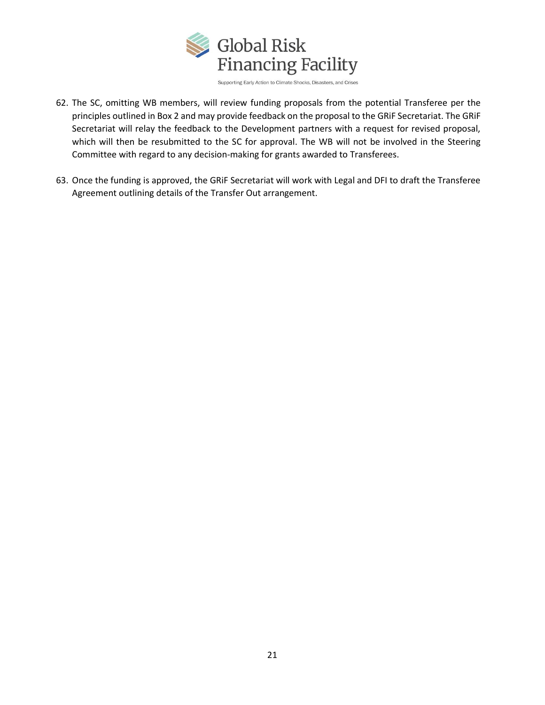

- 62. The SC, omitting WB members, will review funding proposals from the potential Transferee per the principles outlined in Box 2 and may provide feedback on the proposal to the GRiF Secretariat. The GRiF Secretariat will relay the feedback to the Development partners with a request for revised proposal, which will then be resubmitted to the SC for approval. The WB will not be involved in the Steering Committee with regard to any decision-making for grants awarded to Transferees.
- 63. Once the funding is approved, the GRiF Secretariat will work with Legal and DFI to draft the Transferee Agreement outlining details of the Transfer Out arrangement.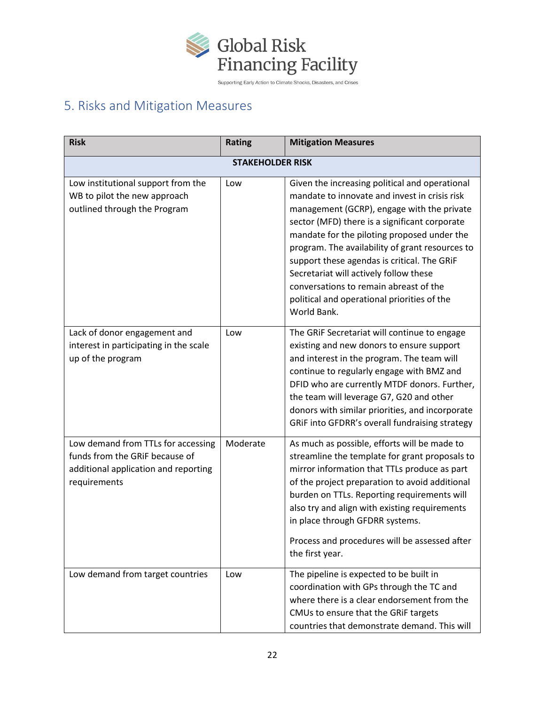

# <span id="page-21-0"></span>5. Risks and Mitigation Measures

| <b>Risk</b>                                                                                                                  | <b>Rating</b> | <b>Mitigation Measures</b>                                                                                                                                                                                                                                                                                                                                                                                                                                                                        |  |  |  |
|------------------------------------------------------------------------------------------------------------------------------|---------------|---------------------------------------------------------------------------------------------------------------------------------------------------------------------------------------------------------------------------------------------------------------------------------------------------------------------------------------------------------------------------------------------------------------------------------------------------------------------------------------------------|--|--|--|
| <b>STAKEHOLDER RISK</b>                                                                                                      |               |                                                                                                                                                                                                                                                                                                                                                                                                                                                                                                   |  |  |  |
| Low institutional support from the<br>WB to pilot the new approach<br>outlined through the Program                           | Low           | Given the increasing political and operational<br>mandate to innovate and invest in crisis risk<br>management (GCRP), engage with the private<br>sector (MFD) there is a significant corporate<br>mandate for the piloting proposed under the<br>program. The availability of grant resources to<br>support these agendas is critical. The GRiF<br>Secretariat will actively follow these<br>conversations to remain abreast of the<br>political and operational priorities of the<br>World Bank. |  |  |  |
| Lack of donor engagement and<br>interest in participating in the scale<br>up of the program                                  | Low           | The GRiF Secretariat will continue to engage<br>existing and new donors to ensure support<br>and interest in the program. The team will<br>continue to regularly engage with BMZ and<br>DFID who are currently MTDF donors. Further,<br>the team will leverage G7, G20 and other<br>donors with similar priorities, and incorporate<br>GRIF into GFDRR's overall fundraising strategy                                                                                                             |  |  |  |
| Low demand from TTLs for accessing<br>funds from the GRIF because of<br>additional application and reporting<br>requirements | Moderate      | As much as possible, efforts will be made to<br>streamline the template for grant proposals to<br>mirror information that TTLs produce as part<br>of the project preparation to avoid additional<br>burden on TTLs. Reporting requirements will<br>also try and align with existing requirements<br>in place through GFDRR systems.<br>Process and procedures will be assessed after<br>the first year.                                                                                           |  |  |  |
| Low demand from target countries                                                                                             | Low           | The pipeline is expected to be built in<br>coordination with GPs through the TC and<br>where there is a clear endorsement from the<br>CMUs to ensure that the GRiF targets<br>countries that demonstrate demand. This will                                                                                                                                                                                                                                                                        |  |  |  |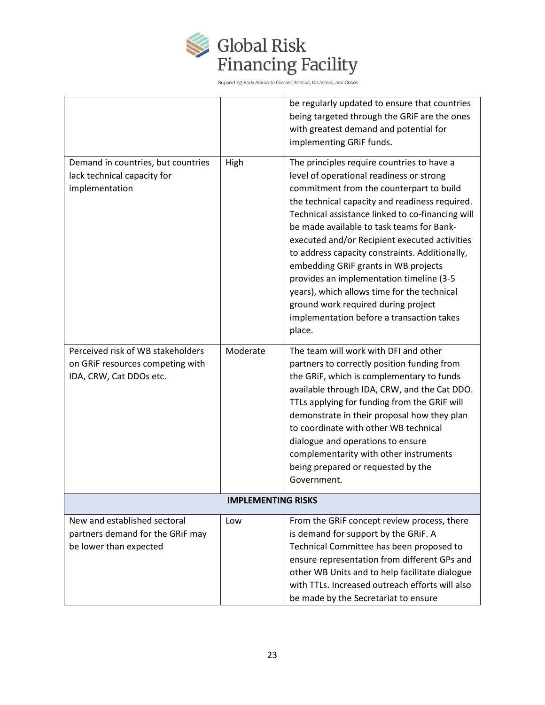| Global Risk               |
|---------------------------|
| <b>Financing Facility</b> |

|                                    |          | be regularly updated to ensure that countries    |  |  |
|------------------------------------|----------|--------------------------------------------------|--|--|
|                                    |          | being targeted through the GRIF are the ones     |  |  |
|                                    |          | with greatest demand and potential for           |  |  |
|                                    |          | implementing GRiF funds.                         |  |  |
|                                    |          |                                                  |  |  |
| Demand in countries, but countries | High     | The principles require countries to have a       |  |  |
| lack technical capacity for        |          | level of operational readiness or strong         |  |  |
| implementation                     |          | commitment from the counterpart to build         |  |  |
|                                    |          | the technical capacity and readiness required.   |  |  |
|                                    |          | Technical assistance linked to co-financing will |  |  |
|                                    |          | be made available to task teams for Bank-        |  |  |
|                                    |          | executed and/or Recipient executed activities    |  |  |
|                                    |          | to address capacity constraints. Additionally,   |  |  |
|                                    |          | embedding GRIF grants in WB projects             |  |  |
|                                    |          | provides an implementation timeline (3-5         |  |  |
|                                    |          | years), which allows time for the technical      |  |  |
|                                    |          | ground work required during project              |  |  |
|                                    |          | implementation before a transaction takes        |  |  |
|                                    |          |                                                  |  |  |
|                                    |          | place.                                           |  |  |
| Perceived risk of WB stakeholders  | Moderate | The team will work with DFI and other            |  |  |
| on GRIF resources competing with   |          | partners to correctly position funding from      |  |  |
| IDA, CRW, Cat DDOs etc.            |          | the GRIF, which is complementary to funds        |  |  |
|                                    |          | available through IDA, CRW, and the Cat DDO.     |  |  |
|                                    |          | TTLs applying for funding from the GRiF will     |  |  |
|                                    |          | demonstrate in their proposal how they plan      |  |  |
|                                    |          | to coordinate with other WB technical            |  |  |
|                                    |          | dialogue and operations to ensure                |  |  |
|                                    |          | complementarity with other instruments           |  |  |
|                                    |          | being prepared or requested by the               |  |  |
|                                    |          | Government.                                      |  |  |
|                                    |          |                                                  |  |  |
| <b>IMPLEMENTING RISKS</b>          |          |                                                  |  |  |
| New and established sectoral       | Low      | From the GRIF concept review process, there      |  |  |
| partners demand for the GRIF may   |          | is demand for support by the GRIF. A             |  |  |
| be lower than expected             |          | Technical Committee has been proposed to         |  |  |
|                                    |          | ensure representation from different GPs and     |  |  |
|                                    |          | other WB Units and to help facilitate dialogue   |  |  |
|                                    |          | with TTLs. Increased outreach efforts will also  |  |  |
|                                    |          | be made by the Secretariat to ensure             |  |  |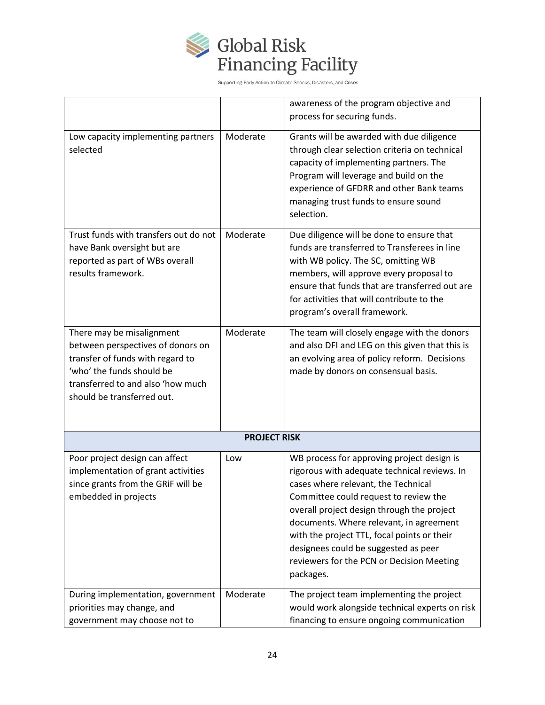| Global Risk               |
|---------------------------|
| <b>Financing Facility</b> |

|                                                                                                                                                                                                    |                     | awareness of the program objective and                                                                                                                                                                                                                                                                                                                                                                               |
|----------------------------------------------------------------------------------------------------------------------------------------------------------------------------------------------------|---------------------|----------------------------------------------------------------------------------------------------------------------------------------------------------------------------------------------------------------------------------------------------------------------------------------------------------------------------------------------------------------------------------------------------------------------|
|                                                                                                                                                                                                    |                     | process for securing funds.                                                                                                                                                                                                                                                                                                                                                                                          |
| Low capacity implementing partners<br>selected                                                                                                                                                     | Moderate            | Grants will be awarded with due diligence<br>through clear selection criteria on technical<br>capacity of implementing partners. The<br>Program will leverage and build on the<br>experience of GFDRR and other Bank teams<br>managing trust funds to ensure sound<br>selection.                                                                                                                                     |
| Trust funds with transfers out do not<br>have Bank oversight but are<br>reported as part of WBs overall<br>results framework.                                                                      | Moderate            | Due diligence will be done to ensure that<br>funds are transferred to Transferees in line<br>with WB policy. The SC, omitting WB<br>members, will approve every proposal to<br>ensure that funds that are transferred out are<br>for activities that will contribute to the<br>program's overall framework.                                                                                                          |
| There may be misalignment<br>between perspectives of donors on<br>transfer of funds with regard to<br>'who' the funds should be<br>transferred to and also 'how much<br>should be transferred out. | Moderate            | The team will closely engage with the donors<br>and also DFI and LEG on this given that this is<br>an evolving area of policy reform. Decisions<br>made by donors on consensual basis.                                                                                                                                                                                                                               |
|                                                                                                                                                                                                    | <b>PROJECT RISK</b> |                                                                                                                                                                                                                                                                                                                                                                                                                      |
| Poor project design can affect<br>implementation of grant activities<br>since grants from the GRiF will be<br>embedded in projects                                                                 | Low                 | WB process for approving project design is<br>rigorous with adequate technical reviews. In<br>cases where relevant, the Technical<br>Committee could request to review the<br>overall project design through the project<br>documents. Where relevant, in agreement<br>with the project TTL, focal points or their<br>designees could be suggested as peer<br>reviewers for the PCN or Decision Meeting<br>packages. |
| During implementation, government<br>priorities may change, and<br>government may choose not to                                                                                                    | Moderate            | The project team implementing the project<br>would work alongside technical experts on risk<br>financing to ensure ongoing communication                                                                                                                                                                                                                                                                             |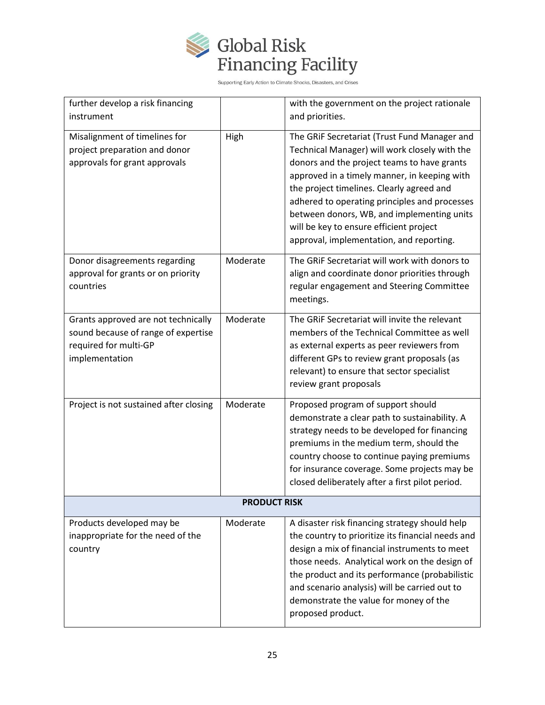

| further develop a risk financing                                                                                      |                     | with the government on the project rationale                                                                                                                                                                                                                                                                                                                                                                                    |
|-----------------------------------------------------------------------------------------------------------------------|---------------------|---------------------------------------------------------------------------------------------------------------------------------------------------------------------------------------------------------------------------------------------------------------------------------------------------------------------------------------------------------------------------------------------------------------------------------|
| instrument                                                                                                            |                     | and priorities.                                                                                                                                                                                                                                                                                                                                                                                                                 |
| Misalignment of timelines for<br>project preparation and donor<br>approvals for grant approvals                       | High                | The GRiF Secretariat (Trust Fund Manager and<br>Technical Manager) will work closely with the<br>donors and the project teams to have grants<br>approved in a timely manner, in keeping with<br>the project timelines. Clearly agreed and<br>adhered to operating principles and processes<br>between donors, WB, and implementing units<br>will be key to ensure efficient project<br>approval, implementation, and reporting. |
| Donor disagreements regarding<br>approval for grants or on priority<br>countries                                      | Moderate            | The GRIF Secretariat will work with donors to<br>align and coordinate donor priorities through<br>regular engagement and Steering Committee<br>meetings.                                                                                                                                                                                                                                                                        |
| Grants approved are not technically<br>sound because of range of expertise<br>required for multi-GP<br>implementation | Moderate            | The GRIF Secretariat will invite the relevant<br>members of the Technical Committee as well<br>as external experts as peer reviewers from<br>different GPs to review grant proposals (as<br>relevant) to ensure that sector specialist<br>review grant proposals                                                                                                                                                                |
| Project is not sustained after closing                                                                                | Moderate            | Proposed program of support should<br>demonstrate a clear path to sustainability. A<br>strategy needs to be developed for financing<br>premiums in the medium term, should the<br>country choose to continue paying premiums<br>for insurance coverage. Some projects may be<br>closed deliberately after a first pilot period.                                                                                                 |
|                                                                                                                       | <b>PRODUCT RISK</b> |                                                                                                                                                                                                                                                                                                                                                                                                                                 |
| Products developed may be<br>inappropriate for the need of the<br>country                                             | Moderate            | A disaster risk financing strategy should help<br>the country to prioritize its financial needs and<br>design a mix of financial instruments to meet<br>those needs. Analytical work on the design of<br>the product and its performance (probabilistic<br>and scenario analysis) will be carried out to<br>demonstrate the value for money of the<br>proposed product.                                                         |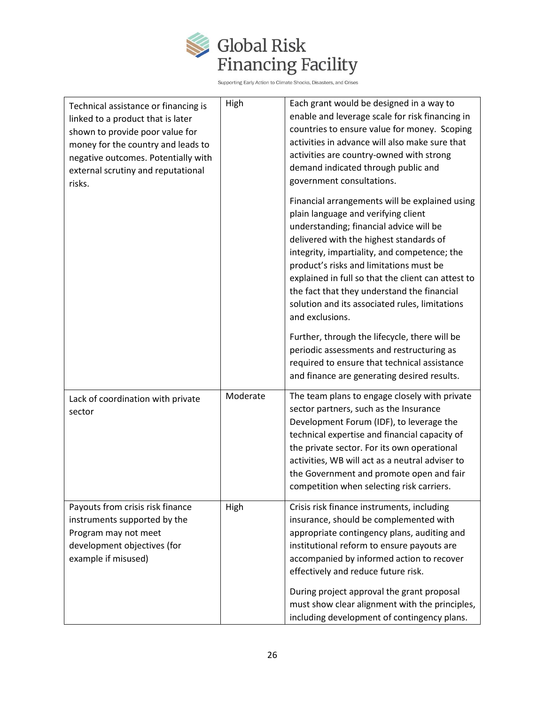

| Technical assistance or financing is<br>linked to a product that is later<br>shown to provide poor value for<br>money for the country and leads to<br>negative outcomes. Potentially with<br>external scrutiny and reputational<br>risks. | High     | Each grant would be designed in a way to<br>enable and leverage scale for risk financing in<br>countries to ensure value for money. Scoping<br>activities in advance will also make sure that<br>activities are country-owned with strong<br>demand indicated through public and<br>government consultations.                                                                                                                                    |
|-------------------------------------------------------------------------------------------------------------------------------------------------------------------------------------------------------------------------------------------|----------|--------------------------------------------------------------------------------------------------------------------------------------------------------------------------------------------------------------------------------------------------------------------------------------------------------------------------------------------------------------------------------------------------------------------------------------------------|
|                                                                                                                                                                                                                                           |          | Financial arrangements will be explained using<br>plain language and verifying client<br>understanding; financial advice will be<br>delivered with the highest standards of<br>integrity, impartiality, and competence; the<br>product's risks and limitations must be<br>explained in full so that the client can attest to<br>the fact that they understand the financial<br>solution and its associated rules, limitations<br>and exclusions. |
|                                                                                                                                                                                                                                           |          | Further, through the lifecycle, there will be<br>periodic assessments and restructuring as<br>required to ensure that technical assistance<br>and finance are generating desired results.                                                                                                                                                                                                                                                        |
| Lack of coordination with private<br>sector                                                                                                                                                                                               | Moderate | The team plans to engage closely with private<br>sector partners, such as the Insurance<br>Development Forum (IDF), to leverage the<br>technical expertise and financial capacity of<br>the private sector. For its own operational<br>activities, WB will act as a neutral adviser to<br>the Government and promote open and fair<br>competition when selecting risk carriers.                                                                  |
| Payouts from crisis risk finance<br>instruments supported by the<br>Program may not meet<br>development objectives (for<br>example if misused)                                                                                            | High     | Crisis risk finance instruments, including<br>insurance, should be complemented with<br>appropriate contingency plans, auditing and<br>institutional reform to ensure payouts are<br>accompanied by informed action to recover<br>effectively and reduce future risk.<br>During project approval the grant proposal<br>must show clear alignment with the principles,<br>including development of contingency plans.                             |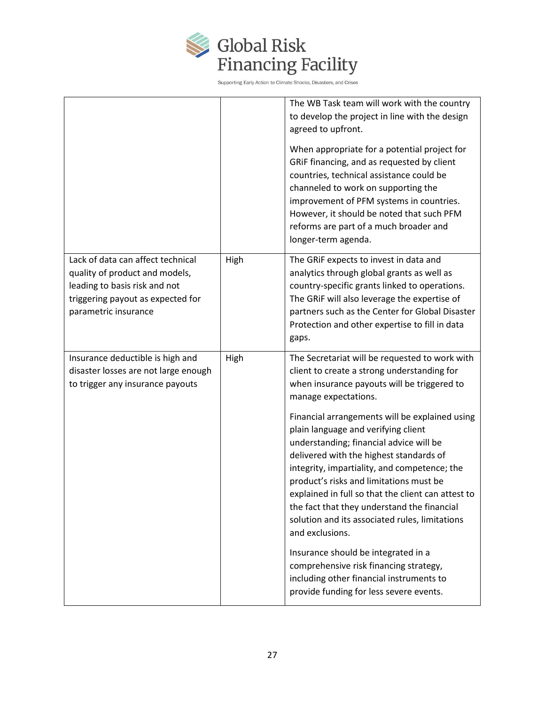

|                                                                                                                                                                   |      | The WB Task team will work with the country<br>to develop the project in line with the design<br>agreed to upfront.<br>When appropriate for a potential project for<br>GRIF financing, and as requested by client<br>countries, technical assistance could be<br>channeled to work on supporting the<br>improvement of PFM systems in countries.<br>However, it should be noted that such PFM<br>reforms are part of a much broader and<br>longer-term agenda.                                                                                                                                                                                                                                                                                                                                   |
|-------------------------------------------------------------------------------------------------------------------------------------------------------------------|------|--------------------------------------------------------------------------------------------------------------------------------------------------------------------------------------------------------------------------------------------------------------------------------------------------------------------------------------------------------------------------------------------------------------------------------------------------------------------------------------------------------------------------------------------------------------------------------------------------------------------------------------------------------------------------------------------------------------------------------------------------------------------------------------------------|
| Lack of data can affect technical<br>quality of product and models,<br>leading to basis risk and not<br>triggering payout as expected for<br>parametric insurance | High | The GRiF expects to invest in data and<br>analytics through global grants as well as<br>country-specific grants linked to operations.<br>The GRiF will also leverage the expertise of<br>partners such as the Center for Global Disaster<br>Protection and other expertise to fill in data<br>gaps.                                                                                                                                                                                                                                                                                                                                                                                                                                                                                              |
| Insurance deductible is high and<br>disaster losses are not large enough<br>to trigger any insurance payouts                                                      | High | The Secretariat will be requested to work with<br>client to create a strong understanding for<br>when insurance payouts will be triggered to<br>manage expectations.<br>Financial arrangements will be explained using<br>plain language and verifying client<br>understanding; financial advice will be<br>delivered with the highest standards of<br>integrity, impartiality, and competence; the<br>product's risks and limitations must be<br>explained in full so that the client can attest to<br>the fact that they understand the financial<br>solution and its associated rules, limitations<br>and exclusions.<br>Insurance should be integrated in a<br>comprehensive risk financing strategy,<br>including other financial instruments to<br>provide funding for less severe events. |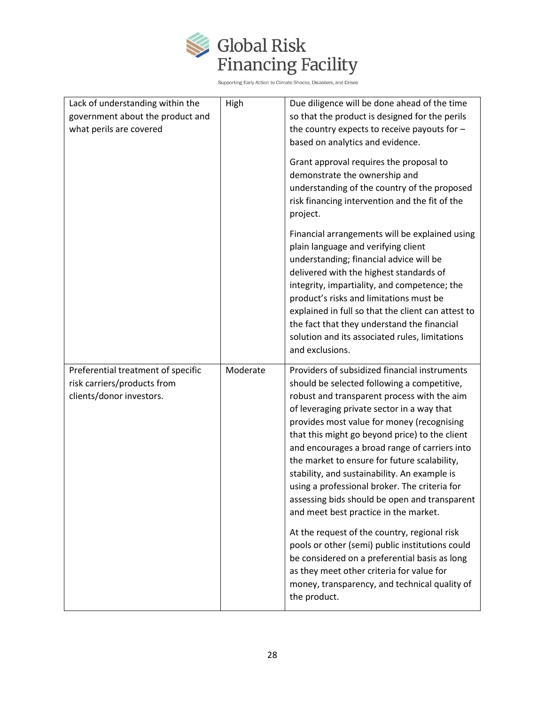

| Lack of understanding within the<br>government about the product and<br>what perils are covered | High     | Due diligence will be done ahead of the time<br>so that the product is designed for the perils<br>the country expects to receive payouts for -<br>based on analytics and evidence.<br>Grant approval requires the proposal to<br>demonstrate the ownership and<br>understanding of the country of the proposed<br>risk financing intervention and the fit of the<br>project.                                                                                                                                                                 |
|-------------------------------------------------------------------------------------------------|----------|----------------------------------------------------------------------------------------------------------------------------------------------------------------------------------------------------------------------------------------------------------------------------------------------------------------------------------------------------------------------------------------------------------------------------------------------------------------------------------------------------------------------------------------------|
|                                                                                                 |          | Financial arrangements will be explained using<br>plain language and verifying client<br>understanding; financial advice will be<br>delivered with the highest standards of<br>integrity, impartiality, and competence; the<br>product's risks and limitations must be<br>explained in full so that the client can attest to<br>the fact that they understand the financial<br>solution and its associated rules, limitations<br>and exclusions.                                                                                             |
| Preferential treatment of specific<br>risk carriers/products from<br>clients/donor investors.   | Moderate | Providers of subsidized financial instruments<br>should be selected following a competitive,<br>robust and transparent process with the aim<br>of leveraging private sector in a way that<br>provides most value for money (recognising<br>that this might go beyond price) to the client<br>and encourages a broad range of carriers into<br>the market to ensure for future scalability,<br>stability, and sustainability. An example is<br>using a professional broker. The criteria for<br>assessing bids should be open and transparent |
|                                                                                                 |          | and meet best practice in the market.<br>At the request of the country, regional risk<br>pools or other (semi) public institutions could<br>be considered on a preferential basis as long<br>as they meet other criteria for value for<br>money, transparency, and technical quality of<br>the product.                                                                                                                                                                                                                                      |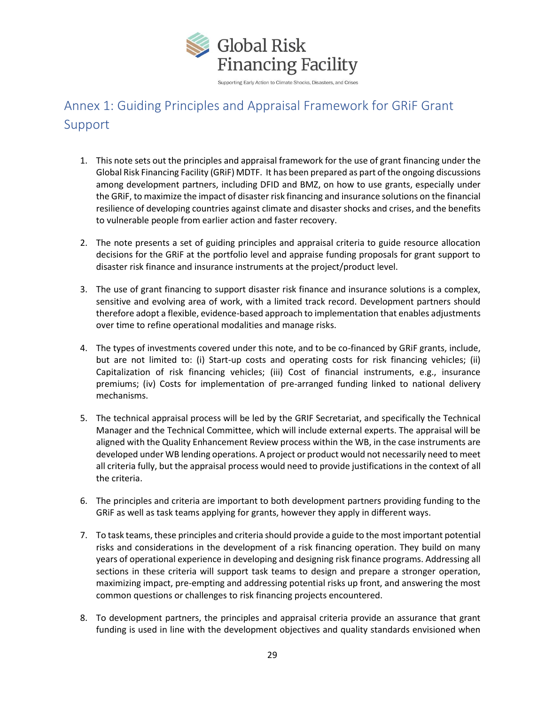

# <span id="page-28-0"></span>Annex 1: Guiding Principles and Appraisal Framework for GRiF Grant Support

- 1. This note sets out the principles and appraisal framework for the use of grant financing under the Global Risk Financing Facility (GRiF) MDTF. It has been prepared as part of the ongoing discussions among development partners, including DFID and BMZ, on how to use grants, especially under the GRiF, to maximize the impact of disaster risk financing and insurance solutions on the financial resilience of developing countries against climate and disaster shocks and crises, and the benefits to vulnerable people from earlier action and faster recovery.
- 2. The note presents a set of guiding principles and appraisal criteria to guide resource allocation decisions for the GRiF at the portfolio level and appraise funding proposals for grant support to disaster risk finance and insurance instruments at the project/product level.
- 3. The use of grant financing to support disaster risk finance and insurance solutions is a complex, sensitive and evolving area of work, with a limited track record. Development partners should therefore adopt a flexible, evidence-based approach to implementation that enables adjustments over time to refine operational modalities and manage risks.
- 4. The types of investments covered under this note, and to be co-financed by GRiF grants, include, but are not limited to: (i) Start-up costs and operating costs for risk financing vehicles; (ii) Capitalization of risk financing vehicles; (iii) Cost of financial instruments, e.g., insurance premiums; (iv) Costs for implementation of pre-arranged funding linked to national delivery mechanisms.
- 5. The technical appraisal process will be led by the GRIF Secretariat, and specifically the Technical Manager and the Technical Committee, which will include external experts. The appraisal will be aligned with the Quality Enhancement Review process within the WB, in the case instruments are developed under WB lending operations. A project or product would not necessarily need to meet all criteria fully, but the appraisal process would need to provide justifications in the context of all the criteria.
- 6. The principles and criteria are important to both development partners providing funding to the GRiF as well as task teams applying for grants, however they apply in different ways.
- 7. To task teams, these principles and criteria should provide a guide to the most important potential risks and considerations in the development of a risk financing operation. They build on many years of operational experience in developing and designing risk finance programs. Addressing all sections in these criteria will support task teams to design and prepare a stronger operation, maximizing impact, pre-empting and addressing potential risks up front, and answering the most common questions or challenges to risk financing projects encountered.
- 8. To development partners, the principles and appraisal criteria provide an assurance that grant funding is used in line with the development objectives and quality standards envisioned when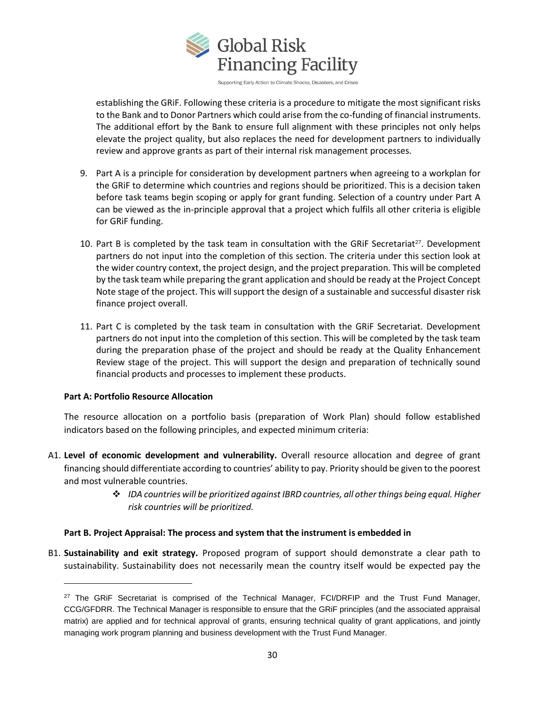

establishing the GRiF. Following these criteria is a procedure to mitigate the most significant risks to the Bank and to Donor Partners which could arise from the co-funding of financial instruments. The additional effort by the Bank to ensure full alignment with these principles not only helps elevate the project quality, but also replaces the need for development partners to individually review and approve grants as part of their internal risk management processes.

- 9. Part A is a principle for consideration by development partners when agreeing to a workplan for the GRiF to determine which countries and regions should be prioritized. This is a decision taken before task teams begin scoping or apply for grant funding. Selection of a country under Part A can be viewed as the in-principle approval that a project which fulfils all other criteria is eligible for GRiF funding.
- 10. Part B is completed by the task team in consultation with the GRIF Secretariat<sup>27</sup>. Development partners do not input into the completion of this section. The criteria under this section look at the wider country context, the project design, and the project preparation. This will be completed by the task team while preparing the grant application and should be ready at the Project Concept Note stage of the project. This will support the design of a sustainable and successful disaster risk finance project overall.
- 11. Part C is completed by the task team in consultation with the GRiF Secretariat. Development partners do not input into the completion of this section. This will be completed by the task team during the preparation phase of the project and should be ready at the Quality Enhancement Review stage of the project. This will support the design and preparation of technically sound financial products and processes to implement these products.

#### **Part A: Portfolio Resource Allocation**

 $\overline{\phantom{a}}$ 

The resource allocation on a portfolio basis (preparation of Work Plan) should follow established indicators based on the following principles, and expected minimum criteria:

- A1. **Level of economic development and vulnerability.** Overall resource allocation and degree of grant financing should differentiate according to countries' ability to pay. Priority should be given to the poorest and most vulnerable countries.
	- ❖ *IDA countries will be prioritized against IBRD countries, all other things being equal. Higher risk countries will be prioritized.*

# **Part B. Project Appraisal: The process and system that the instrument is embedded in**

B1. **Sustainability and exit strategy.** Proposed program of support should demonstrate a clear path to sustainability. Sustainability does not necessarily mean the country itself would be expected pay the

<sup>&</sup>lt;sup>27</sup> The GRiF Secretariat is comprised of the Technical Manager, FCI/DRFIP and the Trust Fund Manager, CCG/GFDRR. The Technical Manager is responsible to ensure that the GRiF principles (and the associated appraisal matrix) are applied and for technical approval of grants, ensuring technical quality of grant applications, and jointly managing work program planning and business development with the Trust Fund Manager.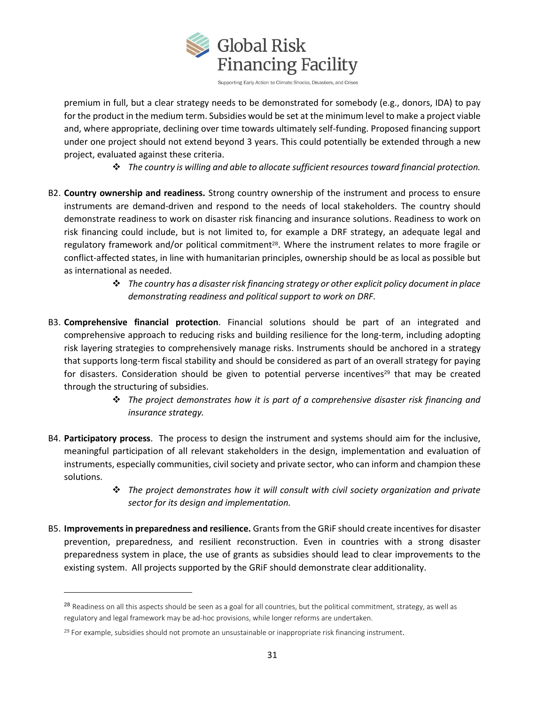

premium in full, but a clear strategy needs to be demonstrated for somebody (e.g., donors, IDA) to pay for the product in the medium term. Subsidies would be set at the minimum level to make a project viable and, where appropriate, declining over time towards ultimately self-funding. Proposed financing support under one project should not extend beyond 3 years. This could potentially be extended through a new project, evaluated against these criteria.

❖ *The country is willing and able to allocate sufficient resources toward financial protection.*

- B2. **Country ownership and readiness.** Strong country ownership of the instrument and process to ensure instruments are demand-driven and respond to the needs of local stakeholders. The country should demonstrate readiness to work on disaster risk financing and insurance solutions. Readiness to work on risk financing could include, but is not limited to, for example a DRF strategy, an adequate legal and regulatory framework and/or political commitment<sup>28</sup>. Where the instrument relates to more fragile or conflict-affected states, in line with humanitarian principles, ownership should be as local as possible but as international as needed.
	- ❖ *The country has a disaster risk financing strategy or other explicit policy document in place demonstrating readiness and political support to work on DRF.*
- B3. **Comprehensive financial protection**. Financial solutions should be part of an integrated and comprehensive approach to reducing risks and building resilience for the long-term, including adopting risk layering strategies to comprehensively manage risks. Instruments should be anchored in a strategy that supports long-term fiscal stability and should be considered as part of an overall strategy for paying for disasters. Consideration should be given to potential perverse incentives<sup>29</sup> that may be created through the structuring of subsidies.
	- ❖ *The project demonstrates how it is part of a comprehensive disaster risk financing and insurance strategy.*
- B4. **Participatory process**. The process to design the instrument and systems should aim for the inclusive, meaningful participation of all relevant stakeholders in the design, implementation and evaluation of instruments, especially communities, civil society and private sector, who can inform and champion these solutions.
	- ❖ *The project demonstrates how it will consult with civil society organization and private sector for its design and implementation.*
- B5. **Improvements in preparedness and resilience.** Grants from the GRiF should create incentives for disaster prevention, preparedness, and resilient reconstruction. Even in countries with a strong disaster preparedness system in place, the use of grants as subsidies should lead to clear improvements to the existing system. All projects supported by the GRiF should demonstrate clear additionality.

<sup>&</sup>lt;sup>28</sup> Readiness on all this aspects should be seen as a goal for all countries, but the political commitment, strategy, as well as regulatory and legal framework may be ad-hoc provisions, while longer reforms are undertaken.

<sup>&</sup>lt;sup>29</sup> For example, subsidies should not promote an unsustainable or inappropriate risk financing instrument.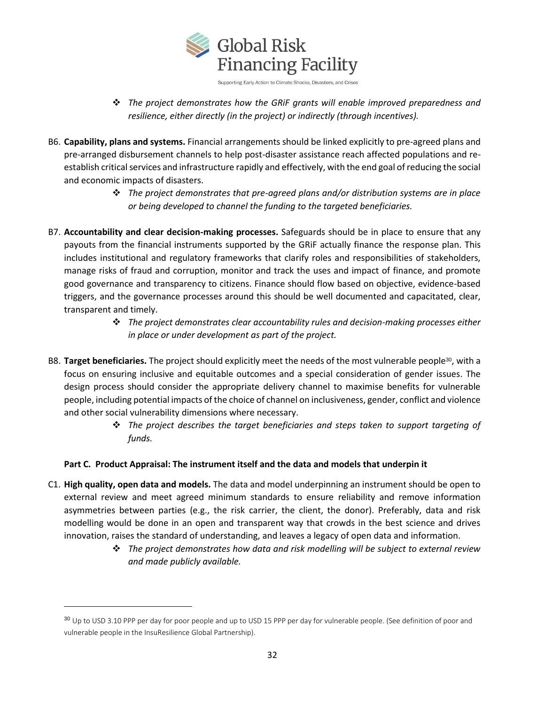

- ❖ *The project demonstrates how the GRiF grants will enable improved preparedness and resilience, either directly (in the project) or indirectly (through incentives).*
- B6. **Capability, plans and systems.** Financial arrangements should be linked explicitly to pre-agreed plans and pre-arranged disbursement channels to help post-disaster assistance reach affected populations and reestablish critical services and infrastructure rapidly and effectively, with the end goal of reducing the social and economic impacts of disasters.
	- ❖ *The project demonstrates that pre-agreed plans and/or distribution systems are in place or being developed to channel the funding to the targeted beneficiaries.*
- B7. **Accountability and clear decision-making processes.** Safeguards should be in place to ensure that any payouts from the financial instruments supported by the GRiF actually finance the response plan. This includes institutional and regulatory frameworks that clarify roles and responsibilities of stakeholders, manage risks of fraud and corruption, monitor and track the uses and impact of finance, and promote good governance and transparency to citizens. Finance should flow based on objective, evidence-based triggers, and the governance processes around this should be well documented and capacitated, clear, transparent and timely.
	- ❖ *The project demonstrates clear accountability rules and decision-making processes either in place or under development as part of the project.*
- B8. **Target beneficiaries.** The project should explicitly meet the needs of the most vulnerable people<sup>30</sup>, with a focus on ensuring inclusive and equitable outcomes and a special consideration of gender issues. The design process should consider the appropriate delivery channel to maximise benefits for vulnerable people, including potential impacts of the choice of channel on inclusiveness, gender, conflict and violence and other social vulnerability dimensions where necessary.
	- ❖ *The project describes the target beneficiaries and steps taken to support targeting of funds.*

# **Part C. Product Appraisal: The instrument itself and the data and models that underpin it**

- C1. **High quality, open data and models.** The data and model underpinning an instrument should be open to external review and meet agreed minimum standards to ensure reliability and remove information asymmetries between parties (e.g., the risk carrier, the client, the donor). Preferably, data and risk modelling would be done in an open and transparent way that crowds in the best science and drives innovation, raises the standard of understanding, and leaves a legacy of open data and information.
	- ❖ *The project demonstrates how data and risk modelling will be subject to external review and made publicly available.*

<sup>&</sup>lt;sup>30</sup> Up to USD 3.10 PPP per day for poor people and up to USD 15 PPP per day for vulnerable people. (See definition of poor and vulnerable people in the InsuResilience Global Partnership).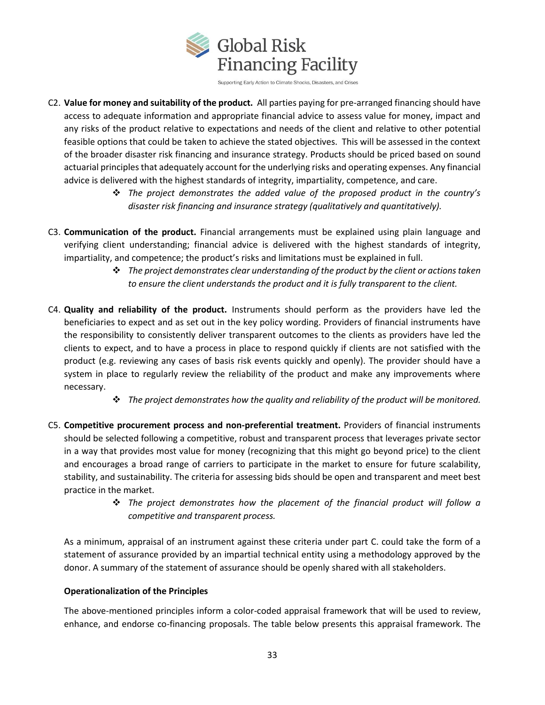**Global Risk Financing Facility** 

Supporting Early Action to Climate Shocks, Disasters, and Crises

- C2. **Value for money and suitability of the product.** All parties paying for pre-arranged financing should have access to adequate information and appropriate financial advice to assess value for money, impact and any risks of the product relative to expectations and needs of the client and relative to other potential feasible options that could be taken to achieve the stated objectives. This will be assessed in the context of the broader disaster risk financing and insurance strategy. Products should be priced based on sound actuarial principles that adequately account for the underlying risks and operating expenses. Any financial advice is delivered with the highest standards of integrity, impartiality, competence, and care.
	- ❖ *The project demonstrates the added value of the proposed product in the country's disaster risk financing and insurance strategy (qualitatively and quantitatively).*
- C3. **Communication of the product.** Financial arrangements must be explained using plain language and verifying client understanding; financial advice is delivered with the highest standards of integrity, impartiality, and competence; the product's risks and limitations must be explained in full.
	- ❖ *The project demonstrates clear understanding of the product by the client or actions taken to ensure the client understands the product and it is fully transparent to the client.*
- C4. **Quality and reliability of the product.** Instruments should perform as the providers have led the beneficiaries to expect and as set out in the key policy wording. Providers of financial instruments have the responsibility to consistently deliver transparent outcomes to the clients as providers have led the clients to expect, and to have a process in place to respond quickly if clients are not satisfied with the product (e.g. reviewing any cases of basis risk events quickly and openly). The provider should have a system in place to regularly review the reliability of the product and make any improvements where necessary.
	- ❖ *The project demonstrates how the quality and reliability of the product will be monitored.*
- C5. **Competitive procurement process and non-preferential treatment.** Providers of financial instruments should be selected following a competitive, robust and transparent process that leverages private sector in a way that provides most value for money (recognizing that this might go beyond price) to the client and encourages a broad range of carriers to participate in the market to ensure for future scalability, stability, and sustainability. The criteria for assessing bids should be open and transparent and meet best practice in the market.
	- ❖ *The project demonstrates how the placement of the financial product will follow a competitive and transparent process.*

As a minimum, appraisal of an instrument against these criteria under part C. could take the form of a statement of assurance provided by an impartial technical entity using a methodology approved by the donor. A summary of the statement of assurance should be openly shared with all stakeholders.

#### **Operationalization of the Principles**

The above-mentioned principles inform a color-coded appraisal framework that will be used to review, enhance, and endorse co-financing proposals. The table below presents this appraisal framework. The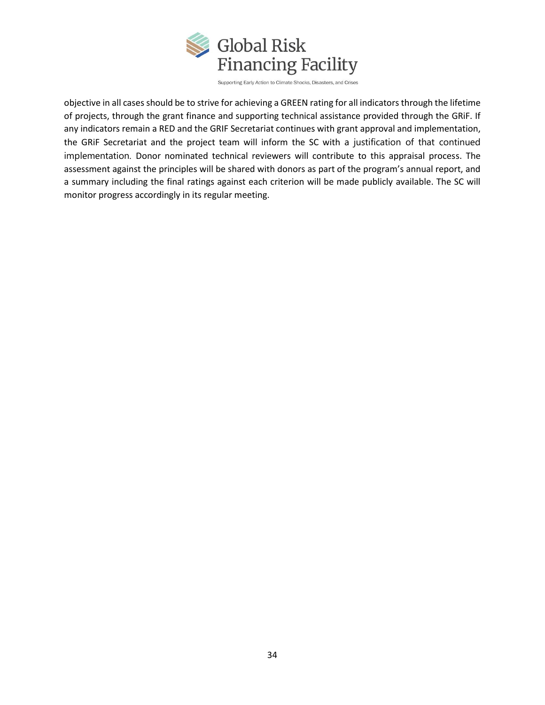

objective in all cases should be to strive for achieving a GREEN rating for all indicators through the lifetime of projects, through the grant finance and supporting technical assistance provided through the GRiF. If any indicators remain a RED and the GRIF Secretariat continues with grant approval and implementation, the GRiF Secretariat and the project team will inform the SC with a justification of that continued implementation. Donor nominated technical reviewers will contribute to this appraisal process. The assessment against the principles will be shared with donors as part of the program's annual report, and a summary including the final ratings against each criterion will be made publicly available. The SC will monitor progress accordingly in its regular meeting.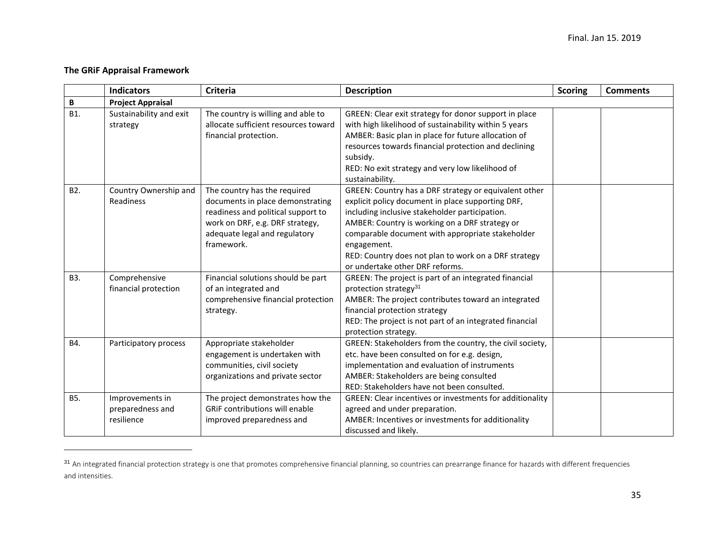# **The GRiF Appraisal Framework**

|                  | <b>Indicators</b>                                 | <b>Criteria</b>                                                                                                                                                                          | <b>Description</b>                                                                                                                                                                                                                                                                                                                                                           | <b>Scoring</b> | <b>Comments</b> |
|------------------|---------------------------------------------------|------------------------------------------------------------------------------------------------------------------------------------------------------------------------------------------|------------------------------------------------------------------------------------------------------------------------------------------------------------------------------------------------------------------------------------------------------------------------------------------------------------------------------------------------------------------------------|----------------|-----------------|
| $\, {\bf B} \,$  | <b>Project Appraisal</b>                          |                                                                                                                                                                                          |                                                                                                                                                                                                                                                                                                                                                                              |                |                 |
| B1.              | Sustainability and exit<br>strategy               | The country is willing and able to<br>allocate sufficient resources toward<br>financial protection.                                                                                      | GREEN: Clear exit strategy for donor support in place<br>with high likelihood of sustainability within 5 years<br>AMBER: Basic plan in place for future allocation of<br>resources towards financial protection and declining<br>subsidy.<br>RED: No exit strategy and very low likelihood of<br>sustainability.                                                             |                |                 |
| B <sub>2</sub> . | Country Ownership and<br>Readiness                | The country has the required<br>documents in place demonstrating<br>readiness and political support to<br>work on DRF, e.g. DRF strategy,<br>adequate legal and regulatory<br>framework. | GREEN: Country has a DRF strategy or equivalent other<br>explicit policy document in place supporting DRF,<br>including inclusive stakeholder participation.<br>AMBER: Country is working on a DRF strategy or<br>comparable document with appropriate stakeholder<br>engagement.<br>RED: Country does not plan to work on a DRF strategy<br>or undertake other DRF reforms. |                |                 |
| B3.              | Comprehensive<br>financial protection             | Financial solutions should be part<br>of an integrated and<br>comprehensive financial protection<br>strategy.                                                                            | GREEN: The project is part of an integrated financial<br>protection strategy <sup>31</sup><br>AMBER: The project contributes toward an integrated<br>financial protection strategy<br>RED: The project is not part of an integrated financial<br>protection strategy.                                                                                                        |                |                 |
| <b>B4.</b>       | Participatory process                             | Appropriate stakeholder<br>engagement is undertaken with<br>communities, civil society<br>organizations and private sector                                                               | GREEN: Stakeholders from the country, the civil society,<br>etc. have been consulted on for e.g. design,<br>implementation and evaluation of instruments<br>AMBER: Stakeholders are being consulted<br>RED: Stakeholders have not been consulted.                                                                                                                            |                |                 |
| B5.              | Improvements in<br>preparedness and<br>resilience | The project demonstrates how the<br><b>GRIF contributions will enable</b><br>improved preparedness and                                                                                   | GREEN: Clear incentives or investments for additionality<br>agreed and under preparation.<br>AMBER: Incentives or investments for additionality<br>discussed and likely.                                                                                                                                                                                                     |                |                 |

<sup>&</sup>lt;sup>31</sup> An integrated financial protection strategy is one that promotes comprehensive financial planning, so countries can prearrange finance for hazards with different frequencies and intensities.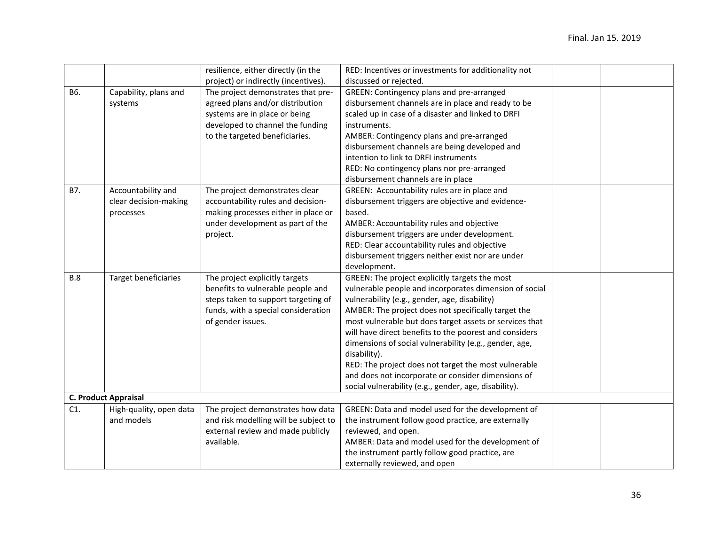|            |                             | resilience, either directly (in the   | RED: Incentives or investments for additionality not    |  |
|------------|-----------------------------|---------------------------------------|---------------------------------------------------------|--|
|            |                             | project) or indirectly (incentives).  | discussed or rejected.                                  |  |
| B6.        | Capability, plans and       | The project demonstrates that pre-    | GREEN: Contingency plans and pre-arranged               |  |
|            | systems                     | agreed plans and/or distribution      | disbursement channels are in place and ready to be      |  |
|            |                             | systems are in place or being         | scaled up in case of a disaster and linked to DRFI      |  |
|            |                             | developed to channel the funding      | instruments.                                            |  |
|            |                             | to the targeted beneficiaries.        | AMBER: Contingency plans and pre-arranged               |  |
|            |                             |                                       | disbursement channels are being developed and           |  |
|            |                             |                                       | intention to link to DRFI instruments                   |  |
|            |                             |                                       | RED: No contingency plans nor pre-arranged              |  |
|            |                             |                                       | disbursement channels are in place                      |  |
| B7.        | Accountability and          | The project demonstrates clear        | GREEN: Accountability rules are in place and            |  |
|            | clear decision-making       | accountability rules and decision-    | disbursement triggers are objective and evidence-       |  |
|            | processes                   | making processes either in place or   | based.                                                  |  |
|            |                             | under development as part of the      | AMBER: Accountability rules and objective               |  |
|            |                             | project.                              | disbursement triggers are under development.            |  |
|            |                             |                                       | RED: Clear accountability rules and objective           |  |
|            |                             |                                       | disbursement triggers neither exist nor are under       |  |
|            |                             |                                       | development.                                            |  |
| <b>B.8</b> | <b>Target beneficiaries</b> | The project explicitly targets        | GREEN: The project explicitly targets the most          |  |
|            |                             | benefits to vulnerable people and     | vulnerable people and incorporates dimension of social  |  |
|            |                             | steps taken to support targeting of   | vulnerability (e.g., gender, age, disability)           |  |
|            |                             | funds, with a special consideration   | AMBER: The project does not specifically target the     |  |
|            |                             | of gender issues.                     | most vulnerable but does target assets or services that |  |
|            |                             |                                       | will have direct benefits to the poorest and considers  |  |
|            |                             |                                       | dimensions of social vulnerability (e.g., gender, age,  |  |
|            |                             |                                       | disability).                                            |  |
|            |                             |                                       | RED: The project does not target the most vulnerable    |  |
|            |                             |                                       | and does not incorporate or consider dimensions of      |  |
|            |                             |                                       | social vulnerability (e.g., gender, age, disability).   |  |
|            | <b>C. Product Appraisal</b> |                                       |                                                         |  |
| C1.        | High-quality, open data     | The project demonstrates how data     | GREEN: Data and model used for the development of       |  |
|            | and models                  | and risk modelling will be subject to | the instrument follow good practice, are externally     |  |
|            |                             | external review and made publicly     | reviewed, and open.                                     |  |
|            |                             | available.                            | AMBER: Data and model used for the development of       |  |
|            |                             |                                       | the instrument partly follow good practice, are         |  |
|            |                             |                                       | externally reviewed, and open                           |  |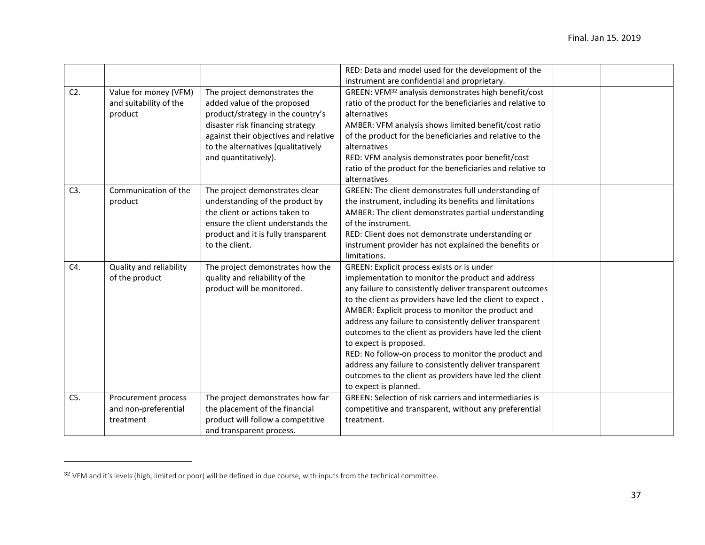|     |                         |                                       | RED: Data and model used for the development of the              |  |
|-----|-------------------------|---------------------------------------|------------------------------------------------------------------|--|
|     |                         |                                       | instrument are confidential and proprietary.                     |  |
| C2. | Value for money (VFM)   | The project demonstrates the          | GREEN: VFM <sup>32</sup> analysis demonstrates high benefit/cost |  |
|     | and suitability of the  | added value of the proposed           | ratio of the product for the beneficiaries and relative to       |  |
|     | product                 | product/strategy in the country's     | alternatives                                                     |  |
|     |                         | disaster risk financing strategy      | AMBER: VFM analysis shows limited benefit/cost ratio             |  |
|     |                         | against their objectives and relative | of the product for the beneficiaries and relative to the         |  |
|     |                         | to the alternatives (qualitatively    | alternatives                                                     |  |
|     |                         | and quantitatively).                  | RED: VFM analysis demonstrates poor benefit/cost                 |  |
|     |                         |                                       | ratio of the product for the beneficiaries and relative to       |  |
|     |                         |                                       | alternatives                                                     |  |
| C3. | Communication of the    | The project demonstrates clear        | GREEN: The client demonstrates full understanding of             |  |
|     | product                 | understanding of the product by       | the instrument, including its benefits and limitations           |  |
|     |                         | the client or actions taken to        | AMBER: The client demonstrates partial understanding             |  |
|     |                         | ensure the client understands the     | of the instrument.                                               |  |
|     |                         | product and it is fully transparent   | RED: Client does not demonstrate understanding or                |  |
|     |                         | to the client.                        | instrument provider has not explained the benefits or            |  |
|     |                         |                                       | limitations.                                                     |  |
| C4. | Quality and reliability | The project demonstrates how the      | GREEN: Explicit process exists or is under                       |  |
|     | of the product          | quality and reliability of the        | implementation to monitor the product and address                |  |
|     |                         | product will be monitored.            | any failure to consistently deliver transparent outcomes         |  |
|     |                         |                                       | to the client as providers have led the client to expect.        |  |
|     |                         |                                       | AMBER: Explicit process to monitor the product and               |  |
|     |                         |                                       | address any failure to consistently deliver transparent          |  |
|     |                         |                                       | outcomes to the client as providers have led the client          |  |
|     |                         |                                       | to expect is proposed.                                           |  |
|     |                         |                                       | RED: No follow-on process to monitor the product and             |  |
|     |                         |                                       | address any failure to consistently deliver transparent          |  |
|     |                         |                                       | outcomes to the client as providers have led the client          |  |
|     |                         |                                       | to expect is planned.                                            |  |
| C5. | Procurement process     | The project demonstrates how far      | <b>GREEN: Selection of risk carriers and intermediaries is</b>   |  |
|     | and non-preferential    | the placement of the financial        | competitive and transparent, without any preferential            |  |
|     | treatment               | product will follow a competitive     | treatment.                                                       |  |
|     |                         | and transparent process.              |                                                                  |  |

<sup>&</sup>lt;sup>32</sup> VFM and it's levels (high, limited or poor) will be defined in due course, with inputs from the technical committee.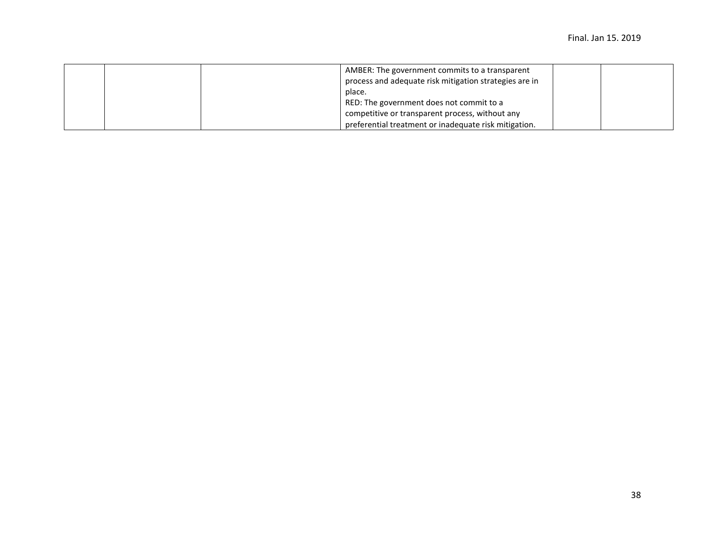|  | AMBER: The government commits to a transparent         |  |
|--|--------------------------------------------------------|--|
|  | process and adequate risk mitigation strategies are in |  |
|  | place.                                                 |  |
|  | RED: The government does not commit to a               |  |
|  | competitive or transparent process, without any        |  |
|  | preferential treatment or inadequate risk mitigation.  |  |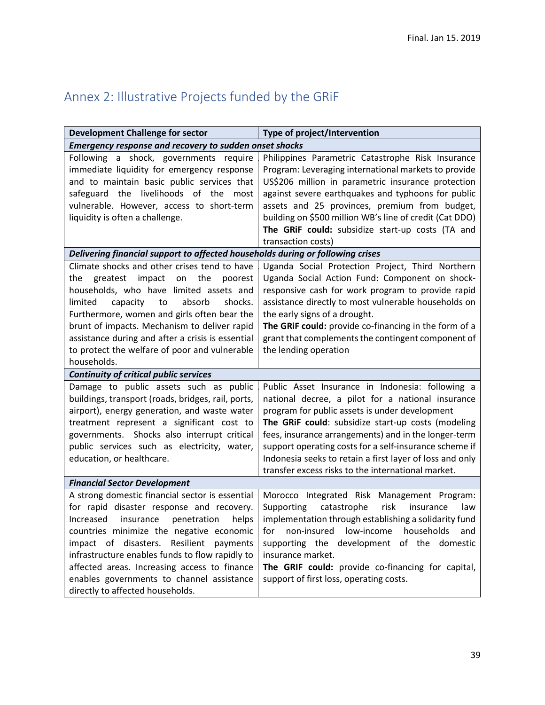# <span id="page-38-0"></span>Annex 2: Illustrative Projects funded by the GRiF

| <b>Development Challenge for sector</b>                                                                                                                                                                                                                                                                                                                                                                                   | Type of project/Intervention                                                                                                                                                                                                                                                                                                                                                                                                                      |
|---------------------------------------------------------------------------------------------------------------------------------------------------------------------------------------------------------------------------------------------------------------------------------------------------------------------------------------------------------------------------------------------------------------------------|---------------------------------------------------------------------------------------------------------------------------------------------------------------------------------------------------------------------------------------------------------------------------------------------------------------------------------------------------------------------------------------------------------------------------------------------------|
| Emergency response and recovery to sudden onset shocks                                                                                                                                                                                                                                                                                                                                                                    |                                                                                                                                                                                                                                                                                                                                                                                                                                                   |
| Following a shock, governments require<br>immediate liquidity for emergency response<br>and to maintain basic public services that<br>safeguard the livelihoods of the most<br>vulnerable. However, access to short-term<br>liquidity is often a challenge.                                                                                                                                                               | Philippines Parametric Catastrophe Risk Insurance<br>Program: Leveraging international markets to provide<br>US\$206 million in parametric insurance protection<br>against severe earthquakes and typhoons for public<br>assets and 25 provinces, premium from budget,<br>building on \$500 million WB's line of credit (Cat DDO)<br>The GRiF could: subsidize start-up costs (TA and<br>transaction costs)                                       |
| Delivering financial support to affected households during or following crises                                                                                                                                                                                                                                                                                                                                            |                                                                                                                                                                                                                                                                                                                                                                                                                                                   |
| Climate shocks and other crises tend to have<br>greatest impact<br>the<br>the<br>on<br>poorest<br>households, who have limited assets and<br>limited<br>absorb<br>shocks.<br>capacity<br>to<br>Furthermore, women and girls often bear the<br>brunt of impacts. Mechanism to deliver rapid<br>assistance during and after a crisis is essential<br>to protect the welfare of poor and vulnerable<br>households.           | Uganda Social Protection Project, Third Northern<br>Uganda Social Action Fund: Component on shock-<br>responsive cash for work program to provide rapid<br>assistance directly to most vulnerable households on<br>the early signs of a drought.<br>The GRiF could: provide co-financing in the form of a<br>grant that complements the contingent component of<br>the lending operation                                                          |
| <b>Continuity of critical public services</b>                                                                                                                                                                                                                                                                                                                                                                             |                                                                                                                                                                                                                                                                                                                                                                                                                                                   |
| Damage to public assets such as public<br>buildings, transport (roads, bridges, rail, ports,<br>airport), energy generation, and waste water<br>treatment represent a significant cost to<br>governments. Shocks also interrupt critical<br>public services such as electricity, water,<br>education, or healthcare.                                                                                                      | Public Asset Insurance in Indonesia: following a<br>national decree, a pilot for a national insurance<br>program for public assets is under development<br>The GRiF could: subsidize start-up costs (modeling<br>fees, insurance arrangements) and in the longer-term<br>support operating costs for a self-insurance scheme if<br>Indonesia seeks to retain a first layer of loss and only<br>transfer excess risks to the international market. |
| <b>Financial Sector Development</b>                                                                                                                                                                                                                                                                                                                                                                                       |                                                                                                                                                                                                                                                                                                                                                                                                                                                   |
| A strong domestic financial sector is essential<br>for rapid disaster response and recovery.<br>penetration<br>Increased<br>insurance<br>helps<br>countries minimize the negative economic<br>impact of disasters. Resilient payments<br>infrastructure enables funds to flow rapidly to<br>affected areas. Increasing access to finance<br>enables governments to channel assistance<br>directly to affected households. | Morocco Integrated Risk Management Program:<br>Supporting<br>catastrophe<br>risk<br>insurance<br>law<br>implementation through establishing a solidarity fund<br>non-insured<br>low-income<br>households<br>for<br>and<br>supporting the development of the domestic<br>insurance market.<br>The GRIF could: provide co-financing for capital,<br>support of first loss, operating costs.                                                         |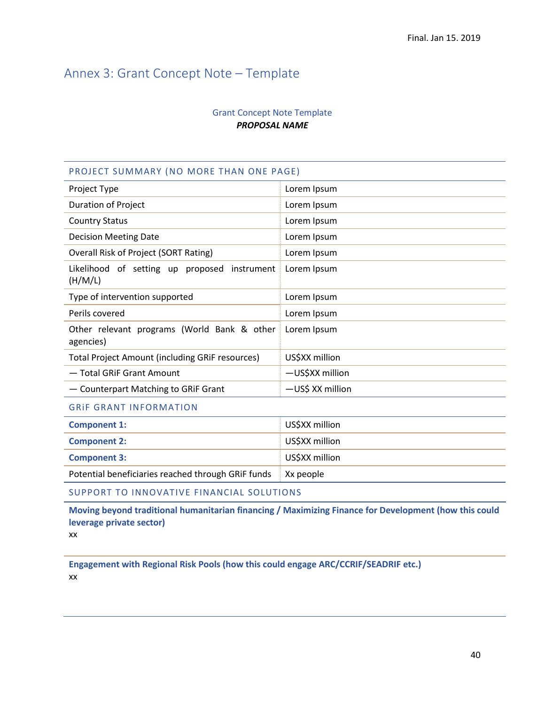# <span id="page-39-0"></span>Annex 3: Grant Concept Note – Template

# Grant Concept Note Template *PROPOSAL NAME*

| PROJECT SUMMARY (NO MORE THAN ONE PAGE)                  |                  |  |
|----------------------------------------------------------|------------------|--|
| Project Type                                             | Lorem Ipsum      |  |
| <b>Duration of Project</b>                               | Lorem Ipsum      |  |
| <b>Country Status</b>                                    | Lorem Ipsum      |  |
| <b>Decision Meeting Date</b>                             | Lorem Ipsum      |  |
| <b>Overall Risk of Project (SORT Rating)</b>             | Lorem Ipsum      |  |
| Likelihood of setting up proposed instrument<br>(H/M/L)  | Lorem Ipsum      |  |
| Type of intervention supported                           | Lorem Ipsum      |  |
| Perils covered                                           | Lorem Ipsum      |  |
| Other relevant programs (World Bank & other<br>agencies) | Lorem Ipsum      |  |
| <b>Total Project Amount (including GRIF resources)</b>   | US\$XX million   |  |
| - Total GRIF Grant Amount                                | -US\$XX million  |  |
| - Counterpart Matching to GRIF Grant                     | -US\$ XX million |  |
| <b>GRIF GRANT INFORMATION</b>                            |                  |  |
| <b>Component 1:</b>                                      | US\$XX million   |  |
| <b>Component 2:</b>                                      | US\$XX million   |  |
| <b>Component 3:</b>                                      | US\$XX million   |  |
| Potential beneficiaries reached through GRIF funds       | Xx people        |  |
| SUPPORT TO INNOVATIVE FINANCIAL SOLUTIONS                |                  |  |

**Moving beyond traditional humanitarian financing / Maximizing Finance for Development (how this could leverage private sector)** 

xx

**Engagement with Regional Risk Pools (how this could engage ARC/CCRIF/SEADRIF etc.)** xx